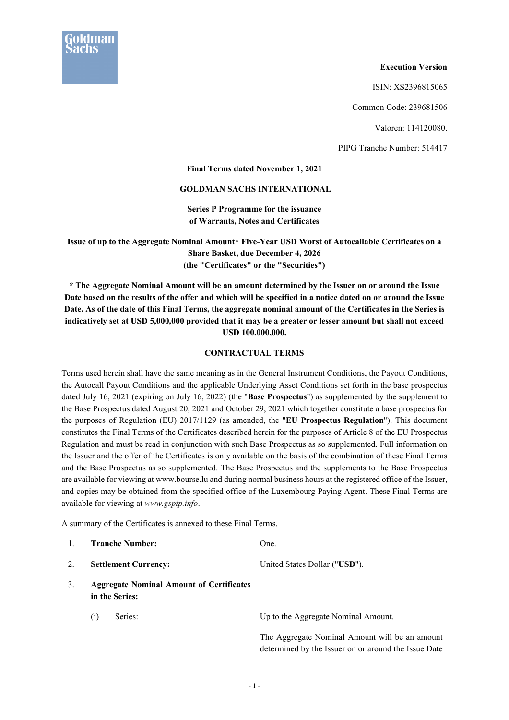

ISIN: XS2396815065

Common Code: 239681506

Valoren: 114120080.

PIPG Tranche Number: 514417

## **Final Terms dated November 1, 2021**

## **GOLDMAN SACHS INTERNATIONAL**

**Series P Programme for the issuance of Warrants, Notes and Certificates**

**Issue of up to the Aggregate Nominal Amount\* Five-Year USD Worst of Autocallable Certificates on a Share Basket, due December 4, 2026 (the "Certificates" or the "Securities")**

**\* The Aggregate Nominal Amount will be an amount determined by the Issuer on or around the Issue Date based on the results of the offer and which will be specified in a notice dated on or around the Issue Date. As of the date of this Final Terms, the aggregate nominal amount of the Certificates in the Series is indicatively set at USD 5,000,000 provided that it may be a greater or lesser amount but shall not exceed USD 100,000,000.**

## **CONTRACTUAL TERMS**

Terms used herein shall have the same meaning as in the General Instrument Conditions, the Payout Conditions, the Autocall Payout Conditions and the applicable Underlying Asset Conditions set forth in the base prospectus dated July 16, 2021 (expiring on July 16, 2022) (the "**Base Prospectus**") as supplemented by the supplement to the Base Prospectus dated August 20, 2021 and October 29, 2021 which together constitute a base prospectus for the purposes of Regulation (EU) 2017/1129 (as amended, the "**EU Prospectus Regulation**"). This document constitutes the Final Terms of the Certificates described herein for the purposes of Article 8 of the EU Prospectus Regulation and must be read in conjunction with such Base Prospectus as so supplemented. Full information on the Issuer and the offer of the Certificates is only available on the basis of the combination of these Final Terms and the Base Prospectus as so supplemented. The Base Prospectus and the supplements to the Base Prospectus are available for viewing at www.bourse.lu and during normal business hours at the registered office of the Issuer, and copies may be obtained from the specified office of the Luxembourg Paying Agent. These Final Terms are available for viewing at *www.gspip.info*.

A summary of the Certificates is annexed to these Final Terms.

| 1. | <b>Tranche Number:</b>                                            | One.                                |
|----|-------------------------------------------------------------------|-------------------------------------|
| 2. | <b>Settlement Currency:</b>                                       | United States Dollar ("USD").       |
|    | <b>Aggregate Nominal Amount of Certificates</b><br>in the Series: |                                     |
|    | Series:<br>(1)                                                    | Up to the Aggregate Nominal Amount. |

The Aggregate Nominal Amount will be an amount determined by the Issuer on or around the Issue Date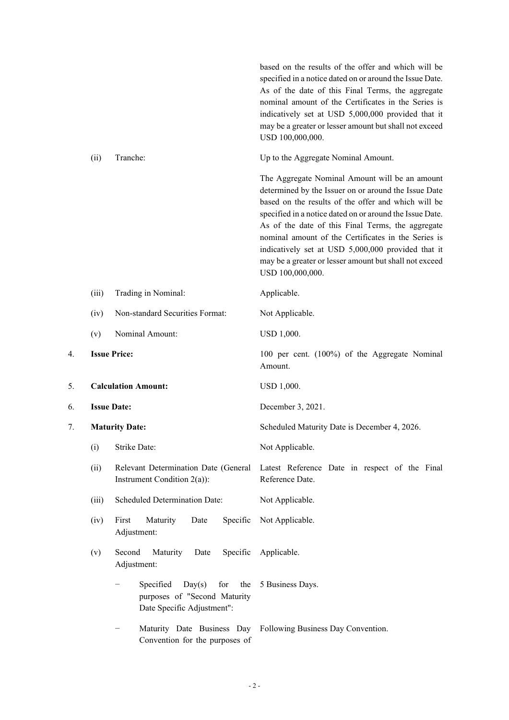|    |       |                                                                                                 | based on the results of the offer and which will be<br>specified in a notice dated on or around the Issue Date.<br>As of the date of this Final Terms, the aggregate<br>nominal amount of the Certificates in the Series is<br>indicatively set at USD 5,000,000 provided that it<br>may be a greater or lesser amount but shall not exceed<br>USD 100,000,000.                                                                                                           |
|----|-------|-------------------------------------------------------------------------------------------------|---------------------------------------------------------------------------------------------------------------------------------------------------------------------------------------------------------------------------------------------------------------------------------------------------------------------------------------------------------------------------------------------------------------------------------------------------------------------------|
|    | (ii)  | Tranche:                                                                                        | Up to the Aggregate Nominal Amount.                                                                                                                                                                                                                                                                                                                                                                                                                                       |
|    |       |                                                                                                 | The Aggregate Nominal Amount will be an amount<br>determined by the Issuer on or around the Issue Date<br>based on the results of the offer and which will be<br>specified in a notice dated on or around the Issue Date.<br>As of the date of this Final Terms, the aggregate<br>nominal amount of the Certificates in the Series is<br>indicatively set at USD 5,000,000 provided that it<br>may be a greater or lesser amount but shall not exceed<br>USD 100,000,000. |
|    | (iii) | Trading in Nominal:                                                                             | Applicable.                                                                                                                                                                                                                                                                                                                                                                                                                                                               |
|    | (iv)  | Non-standard Securities Format:                                                                 | Not Applicable.                                                                                                                                                                                                                                                                                                                                                                                                                                                           |
|    | (v)   | Nominal Amount:                                                                                 | USD 1,000.                                                                                                                                                                                                                                                                                                                                                                                                                                                                |
| 4. |       | <b>Issue Price:</b>                                                                             | 100 per cent. (100%) of the Aggregate Nominal<br>Amount.                                                                                                                                                                                                                                                                                                                                                                                                                  |
| 5. |       | <b>Calculation Amount:</b>                                                                      | USD 1,000.                                                                                                                                                                                                                                                                                                                                                                                                                                                                |
| 6. |       | <b>Issue Date:</b>                                                                              | December 3, 2021.                                                                                                                                                                                                                                                                                                                                                                                                                                                         |
| 7. |       | <b>Maturity Date:</b>                                                                           | Scheduled Maturity Date is December 4, 2026.                                                                                                                                                                                                                                                                                                                                                                                                                              |
|    |       | (i) Strike Date:                                                                                | Not Applicable.                                                                                                                                                                                                                                                                                                                                                                                                                                                           |
|    | (ii)  | Relevant Determination Date (General<br>Instrument Condition $2(a)$ :                           | Latest Reference Date in respect of the Final<br>Reference Date.                                                                                                                                                                                                                                                                                                                                                                                                          |
|    | (iii) | <b>Scheduled Determination Date:</b>                                                            | Not Applicable.                                                                                                                                                                                                                                                                                                                                                                                                                                                           |
|    | (iv)  | First<br>Maturity<br>Date<br>Adjustment:                                                        | Specific Not Applicable.                                                                                                                                                                                                                                                                                                                                                                                                                                                  |
|    | (v)   | Second<br>Maturity<br>Date<br>Adjustment:                                                       | Specific Applicable.                                                                                                                                                                                                                                                                                                                                                                                                                                                      |
|    |       | Specified<br>Day(s)<br>for<br>the<br>purposes of "Second Maturity<br>Date Specific Adjustment": | 5 Business Days.                                                                                                                                                                                                                                                                                                                                                                                                                                                          |
|    |       | Maturity Date Business Day<br>Convention for the purposes of                                    | Following Business Day Convention.                                                                                                                                                                                                                                                                                                                                                                                                                                        |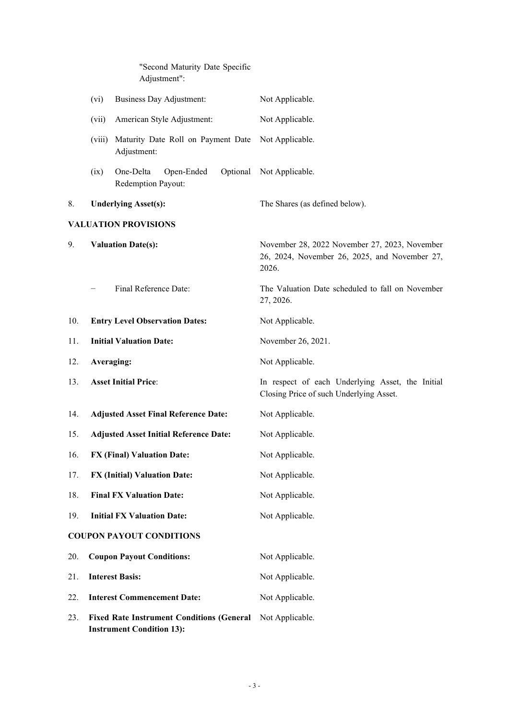|     | "Second Maturity Date Specific<br>Adjustment":                                       |                                                                                                         |
|-----|--------------------------------------------------------------------------------------|---------------------------------------------------------------------------------------------------------|
|     | Business Day Adjustment:<br>(vi)                                                     | Not Applicable.                                                                                         |
|     | American Style Adjustment:<br>(vii)                                                  | Not Applicable.                                                                                         |
|     | Maturity Date Roll on Payment Date<br>(viii)<br>Adjustment:                          | Not Applicable.                                                                                         |
|     | One-Delta<br>Open-Ended<br>Optional<br>(ix)<br>Redemption Payout:                    | Not Applicable.                                                                                         |
| 8.  | <b>Underlying Asset(s):</b>                                                          | The Shares (as defined below).                                                                          |
|     | <b>VALUATION PROVISIONS</b>                                                          |                                                                                                         |
| 9.  | <b>Valuation Date(s):</b>                                                            | November 28, 2022 November 27, 2023, November<br>26, 2024, November 26, 2025, and November 27,<br>2026. |
|     | Final Reference Date:                                                                | The Valuation Date scheduled to fall on November<br>27, 2026.                                           |
| 10. | <b>Entry Level Observation Dates:</b>                                                | Not Applicable.                                                                                         |
| 11. | <b>Initial Valuation Date:</b>                                                       | November 26, 2021.                                                                                      |
| 12. | Averaging:                                                                           | Not Applicable.                                                                                         |
| 13. | <b>Asset Initial Price:</b>                                                          | In respect of each Underlying Asset, the Initial<br>Closing Price of such Underlying Asset.             |
| 14. | <b>Adjusted Asset Final Reference Date:</b>                                          | Not Applicable.                                                                                         |
| 15. | <b>Adjusted Asset Initial Reference Date:</b>                                        | Not Applicable.                                                                                         |
| 16. | <b>FX (Final) Valuation Date:</b>                                                    | Not Applicable.                                                                                         |
| 17. | <b>FX (Initial) Valuation Date:</b>                                                  | Not Applicable.                                                                                         |
| 18. | <b>Final FX Valuation Date:</b>                                                      | Not Applicable.                                                                                         |
| 19. | <b>Initial FX Valuation Date:</b>                                                    | Not Applicable.                                                                                         |
|     | <b>COUPON PAYOUT CONDITIONS</b>                                                      |                                                                                                         |
| 20. | <b>Coupon Payout Conditions:</b>                                                     | Not Applicable.                                                                                         |
| 21. | <b>Interest Basis:</b>                                                               | Not Applicable.                                                                                         |
| 22. | <b>Interest Commencement Date:</b>                                                   | Not Applicable.                                                                                         |
| 23. | <b>Fixed Rate Instrument Conditions (General</b><br><b>Instrument Condition 13):</b> | Not Applicable.                                                                                         |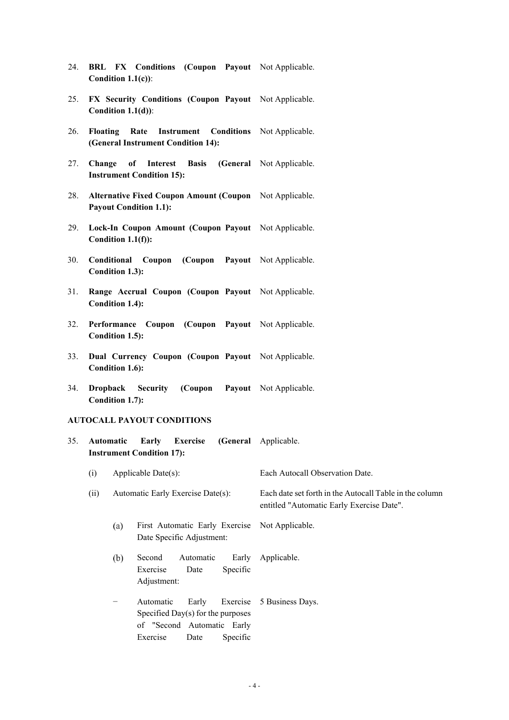- 24. **BRL FX Conditions (Coupon Payout** Not Applicable. **Condition 1.1(c))**:
- 25. **FX Security Conditions (Coupon Payout**  Not Applicable. **Condition 1.1(d))**:
- 26. **Floating Rate Instrument Conditions**  Not Applicable. **(General Instrument Condition 14):**
- 27. **Change of Interest Basis Instrument Condition 15):** (General Not Applicable.
- 28. **Alternative Fixed Coupon Amount (Coupon**  Not Applicable. **Payout Condition 1.1):**
- 29. **Lock-In Coupon Amount (Coupon Payout**  Not Applicable. **Condition 1.1(f)):**
- 30. **Conditional Coupon (Coupon Payout**  Not Applicable. **Condition 1.3):**
- 31. **Range Accrual Coupon (Coupon Payout**  Not Applicable. **Condition 1.4):**
- 32. **Performance Coupon (Coupon Payout**  Not Applicable. **Condition 1.5):**
- 33. **Dual Currency Coupon (Coupon Payout**  Not Applicable. **Condition 1.6):**
- 34. **Dropback Security (Coupon Condition 1.7):** Payout Not Applicable.

# **AUTOCALL PAYOUT CONDITIONS**

| 35.                                                                         |  | Automatic | <b>Early Exercise</b><br><b>Instrument Condition 17):</b>                                                                           | (General Applicable. |
|-----------------------------------------------------------------------------|--|-----------|-------------------------------------------------------------------------------------------------------------------------------------|----------------------|
| Applicable Date $(s)$ :<br>(i)<br>Automatic Early Exercise Date(s):<br>(ii) |  |           | Each Autocall Observation Date.                                                                                                     |                      |
|                                                                             |  |           | Each date set forth in the Autocall Table in the column<br>entitled "Automatic Early Exercise Date".                                |                      |
|                                                                             |  | (a)       | First Automatic Early Exercise<br>Date Specific Adjustment:                                                                         | Not Applicable.      |
|                                                                             |  | (b)       | Automatic<br>Second<br>Early<br>Exercise<br>Specific<br>Date<br>Adjustment:                                                         | Applicable.          |
|                                                                             |  |           | Exercise<br>Automatic<br>Early<br>Specified $Day(s)$ for the purposes<br>of "Second Automatic Early<br>Exercise<br>Specific<br>Date | 5 Business Days.     |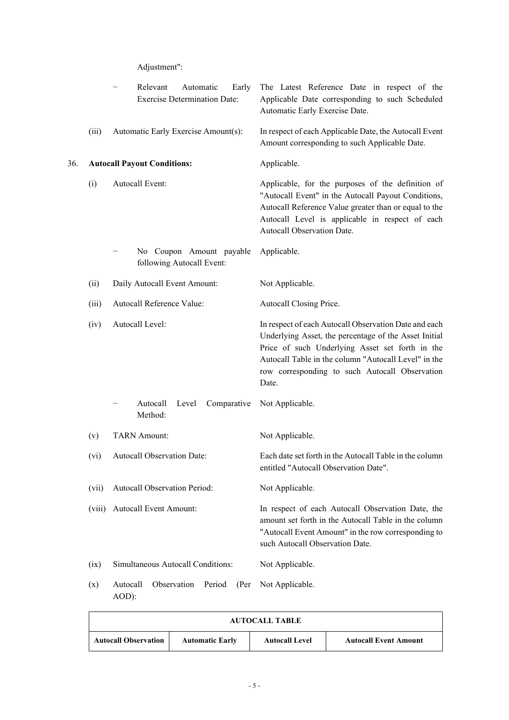Adjustment":

|     |        | Relevant<br>Automatic<br>Early<br><b>Exercise Determination Date:</b> | The Latest Reference Date in respect of the<br>Applicable Date corresponding to such Scheduled<br>Automatic Early Exercise Date.                                                                                                                                                     |
|-----|--------|-----------------------------------------------------------------------|--------------------------------------------------------------------------------------------------------------------------------------------------------------------------------------------------------------------------------------------------------------------------------------|
|     | (iii)  | Automatic Early Exercise Amount(s):                                   | In respect of each Applicable Date, the Autocall Event<br>Amount corresponding to such Applicable Date.                                                                                                                                                                              |
| 36. |        | <b>Autocall Payout Conditions:</b>                                    | Applicable.                                                                                                                                                                                                                                                                          |
|     | (i)    | <b>Autocall Event:</b>                                                | Applicable, for the purposes of the definition of<br>"Autocall Event" in the Autocall Payout Conditions,<br>Autocall Reference Value greater than or equal to the<br>Autocall Level is applicable in respect of each<br>Autocall Observation Date.                                   |
|     |        | No Coupon Amount payable<br>following Autocall Event:                 | Applicable.                                                                                                                                                                                                                                                                          |
|     | (ii)   | Daily Autocall Event Amount:                                          | Not Applicable.                                                                                                                                                                                                                                                                      |
|     | (iii)  | Autocall Reference Value:                                             | Autocall Closing Price.                                                                                                                                                                                                                                                              |
|     | (iv)   | Autocall Level:                                                       | In respect of each Autocall Observation Date and each<br>Underlying Asset, the percentage of the Asset Initial<br>Price of such Underlying Asset set forth in the<br>Autocall Table in the column "Autocall Level" in the<br>row corresponding to such Autocall Observation<br>Date. |
|     |        | Autocall<br>Comparative<br>Level<br>Method:                           | Not Applicable.                                                                                                                                                                                                                                                                      |
|     | (v)    | <b>TARN Amount:</b>                                                   | Not Applicable.                                                                                                                                                                                                                                                                      |
|     | (vi)   | <b>Autocall Observation Date:</b>                                     | Each date set forth in the Autocall Table in the column<br>entitled "Autocall Observation Date".                                                                                                                                                                                     |
|     | (vii)  | Autocall Observation Period:                                          | Not Applicable.                                                                                                                                                                                                                                                                      |
|     | (viii) | Autocall Event Amount:                                                | In respect of each Autocall Observation Date, the<br>amount set forth in the Autocall Table in the column<br>"Autocall Event Amount" in the row corresponding to<br>such Autocall Observation Date.                                                                                  |
|     | (ix)   | Simultaneous Autocall Conditions:                                     | Not Applicable.                                                                                                                                                                                                                                                                      |
|     | (x)    | Autocall<br>Observation<br>Period<br>(Per<br>AOD):                    | Not Applicable.                                                                                                                                                                                                                                                                      |

| AUTOCALL TABLE              |                        |                       |                              |
|-----------------------------|------------------------|-----------------------|------------------------------|
| <b>Autocall Observation</b> | <b>Automatic Early</b> | <b>Autocall Level</b> | <b>Autocall Event Amount</b> |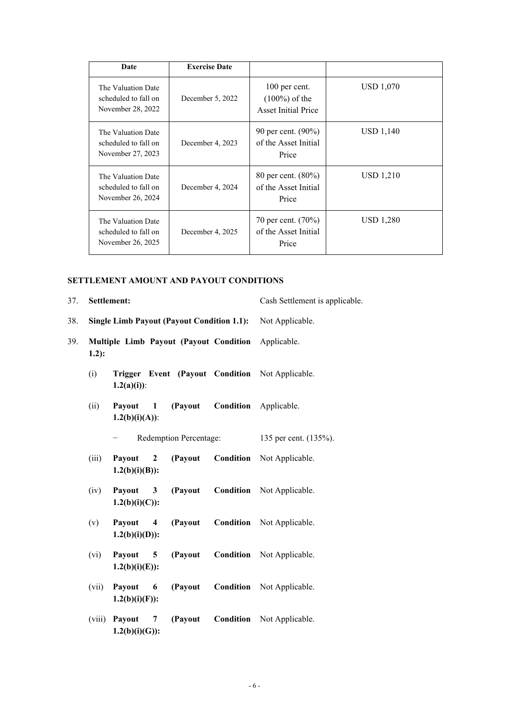| Date                                                            | <b>Exercise Date</b> |                                                                 |           |
|-----------------------------------------------------------------|----------------------|-----------------------------------------------------------------|-----------|
| The Valuation Date<br>scheduled to fall on<br>November 28, 2022 | December 5, 2022     | 100 per cent.<br>$(100\%)$ of the<br><b>Asset Initial Price</b> | USD 1,070 |
| The Valuation Date<br>scheduled to fall on<br>November 27, 2023 | December 4, 2023     | 90 per cent. (90%)<br>of the Asset Initial<br>Price             | USD 1,140 |
| The Valuation Date<br>scheduled to fall on<br>November 26, 2024 | December 4, 2024     | 80 per cent. $(80\%)$<br>of the Asset Initial<br>Price          | USD 1,210 |
| The Valuation Date<br>scheduled to fall on<br>November 26, 2025 | December 4, 2025     | 70 per cent. $(70\%)$<br>of the Asset Initial<br>Price          | USD 1,280 |

# **SETTLEMENT AMOUNT AND PAYOUT CONDITIONS**

| 37. | Settlement:                                       |                                                                   |             | Cash Settlement is applicable. |
|-----|---------------------------------------------------|-------------------------------------------------------------------|-------------|--------------------------------|
| 38. | <b>Single Limb Payout (Payout Condition 1.1):</b> |                                                                   |             | Not Applicable.                |
| 39. | Multiple Limb Payout (Payout Condition<br>$1.2$ : |                                                                   | Applicable. |                                |
|     | (i)                                               | Trigger Event (Payout Condition<br>$1.2(a)(i))$ :                 |             | Not Applicable.                |
|     | (ii)                                              | (Payout<br>Payout<br>1<br>$1.2(b)(i)(A))$ :                       | Condition   | Applicable.                    |
|     |                                                   | Redemption Percentage:                                            |             | 135 per cent. (135%).          |
|     | (iii)                                             | Payout<br>$\boldsymbol{2}$<br>(Payout<br>$1.2(b)(i)(B))$ :        | Condition   | Not Applicable.                |
|     | (iv)                                              | Payout<br>3<br>(Payout<br>$1.2(b)(i)(C))$ :                       | Condition   | Not Applicable.                |
|     | (v)                                               | Payout<br>(Payout<br>$\overline{\mathbf{4}}$<br>$1.2(b)(i)(D))$ : | Condition   | Not Applicable.                |
|     | (vi)                                              | Payout<br>5<br>(Payout<br>$1.2(b)(i)(E))$ :                       | Condition   | Not Applicable.                |
|     | (vii)                                             | Payout<br>(Payout<br>6<br>$1.2(b)(i)(F)$ :                        | Condition   | Not Applicable.                |
|     | (viii)                                            | Payout<br>7<br>(Payout<br>$1.2(b)(i)(G))$ :                       | Condition   | Not Applicable.                |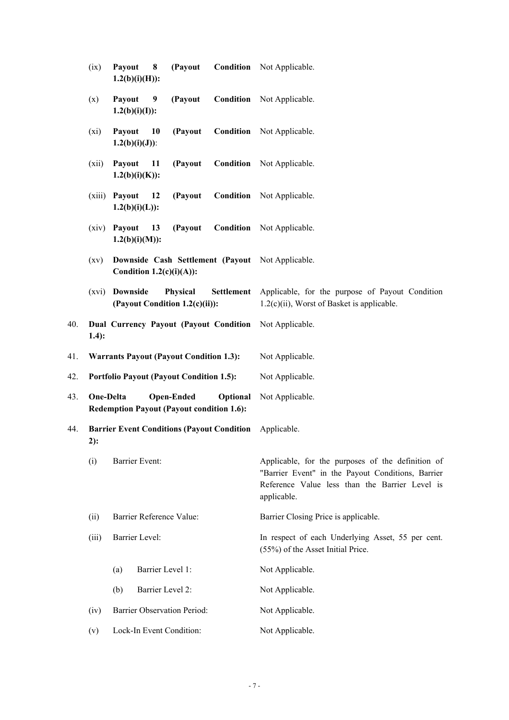|     | (ix)                                                                                           | 8<br>(Payout<br>Payout<br>$1.2(b)(i)(H))$ :                     |            | <b>Condition</b> Not Applicable.                                                                                                                                        |
|-----|------------------------------------------------------------------------------------------------|-----------------------------------------------------------------|------------|-------------------------------------------------------------------------------------------------------------------------------------------------------------------------|
|     | (x)                                                                                            | (Payout<br>Payout<br>9<br>$1.2(b)(i)(I))$ :                     |            | <b>Condition</b> Not Applicable.                                                                                                                                        |
|     | $(x_i)$                                                                                        | (Payout<br>Payout<br>10<br>$1.2(b)(i)(J))$ :                    | Condition  | Not Applicable.                                                                                                                                                         |
|     | (xii)                                                                                          | 11<br>Payout<br>(Payout<br>$1.2(b)(i)(K)$ :                     | Condition  | Not Applicable.                                                                                                                                                         |
|     | (xiii)                                                                                         | 12<br>(Payout<br>Payout<br>$1.2(b)(i)(L))$ :                    | Condition  | Not Applicable.                                                                                                                                                         |
|     | (xiv)                                                                                          | (Payout<br>Payout<br>13<br>$1.2(b)(i)(M))$ :                    | Condition  | Not Applicable.                                                                                                                                                         |
|     | (xv)                                                                                           | Downside Cash Settlement (Payout<br>Condition $1.2(c)(i)(A))$ : |            | Not Applicable.                                                                                                                                                         |
|     | (xvi)                                                                                          | Downside<br>Physical<br>(Payout Condition 1.2(c)(ii)):          | Settlement | Applicable, for the purpose of Payout Condition<br>$1.2(c)(ii)$ , Worst of Basket is applicable.                                                                        |
| 40. | $1.4$ :                                                                                        | Dual Currency Payout (Payout Condition                          |            | Not Applicable.                                                                                                                                                         |
| 41. | <b>Warrants Payout (Payout Condition 1.3):</b>                                                 |                                                                 |            | Not Applicable.                                                                                                                                                         |
| 42. | <b>Portfolio Payout (Payout Condition 1.5):</b>                                                |                                                                 |            | Not Applicable.                                                                                                                                                         |
| 43. | One-Delta<br><b>Open-Ended</b><br>Optional<br><b>Redemption Payout (Payout condition 1.6):</b> |                                                                 |            | Not Applicable.                                                                                                                                                         |
| 44. | 2):                                                                                            | <b>Barrier Event Conditions (Payout Condition</b>               |            | Applicable.                                                                                                                                                             |
|     | (i)                                                                                            | <b>Barrier Event:</b>                                           |            | Applicable, for the purposes of the definition of<br>"Barrier Event" in the Payout Conditions, Barrier<br>Reference Value less than the Barrier Level is<br>applicable. |
|     | (ii)                                                                                           | Barrier Reference Value:                                        |            | Barrier Closing Price is applicable.                                                                                                                                    |
|     | (iii)                                                                                          | Barrier Level:                                                  |            | In respect of each Underlying Asset, 55 per cent.<br>(55%) of the Asset Initial Price.                                                                                  |
|     |                                                                                                | Barrier Level 1:<br>(a)                                         |            | Not Applicable.                                                                                                                                                         |
|     |                                                                                                | Barrier Level 2:<br>(b)                                         |            | Not Applicable.                                                                                                                                                         |
|     | (iv)                                                                                           | <b>Barrier Observation Period:</b>                              |            | Not Applicable.                                                                                                                                                         |
|     | (v)                                                                                            | Lock-In Event Condition:                                        |            | Not Applicable.                                                                                                                                                         |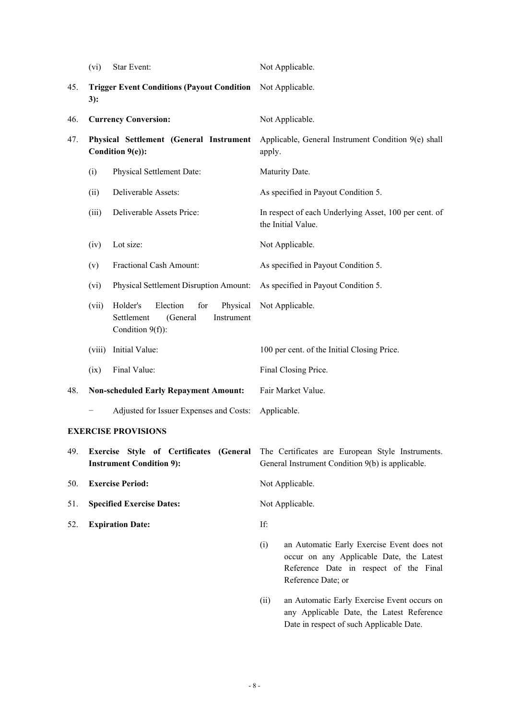|     | (vi)<br>Star Event:                                                                                            | Not Applicable.                                                                                                                                               |  |
|-----|----------------------------------------------------------------------------------------------------------------|---------------------------------------------------------------------------------------------------------------------------------------------------------------|--|
| 45. | <b>Trigger Event Conditions (Payout Condition</b><br>3):                                                       | Not Applicable.                                                                                                                                               |  |
| 46. | <b>Currency Conversion:</b>                                                                                    | Not Applicable.                                                                                                                                               |  |
| 47. | Physical Settlement (General Instrument<br>Condition 9(e)):                                                    | Applicable, General Instrument Condition 9(e) shall<br>apply.                                                                                                 |  |
|     | (i)<br>Physical Settlement Date:                                                                               | Maturity Date.                                                                                                                                                |  |
|     | Deliverable Assets:<br>(ii)                                                                                    | As specified in Payout Condition 5.                                                                                                                           |  |
|     | Deliverable Assets Price:<br>(iii)                                                                             | In respect of each Underlying Asset, 100 per cent. of<br>the Initial Value.                                                                                   |  |
|     | Lot size:<br>(iv)                                                                                              | Not Applicable.                                                                                                                                               |  |
|     | Fractional Cash Amount:<br>(v)                                                                                 | As specified in Payout Condition 5.                                                                                                                           |  |
|     | Physical Settlement Disruption Amount:<br>(vi)                                                                 | As specified in Payout Condition 5.                                                                                                                           |  |
|     | Holder's<br>Election<br>for<br>Physical<br>(vii)<br>Settlement<br>(General<br>Instrument<br>Condition $9(f)$ : | Not Applicable.                                                                                                                                               |  |
|     | Initial Value:<br>(viii)                                                                                       | 100 per cent. of the Initial Closing Price.                                                                                                                   |  |
|     | Final Value:<br>(ix)                                                                                           | Final Closing Price.                                                                                                                                          |  |
| 48. | <b>Non-scheduled Early Repayment Amount:</b>                                                                   | Fair Market Value.                                                                                                                                            |  |
|     | Adjusted for Issuer Expenses and Costs:                                                                        | Applicable.                                                                                                                                                   |  |
|     | <b>EXERCISE PROVISIONS</b>                                                                                     |                                                                                                                                                               |  |
| 49. | Exercise Style of Certificates (General<br><b>Instrument Condition 9):</b>                                     | The Certificates are European Style Instruments.<br>General Instrument Condition 9(b) is applicable.                                                          |  |
| 50. | <b>Exercise Period:</b>                                                                                        | Not Applicable.                                                                                                                                               |  |
| 51. | <b>Specified Exercise Dates:</b>                                                                               | Not Applicable.                                                                                                                                               |  |
| 52. | <b>Expiration Date:</b>                                                                                        | If:                                                                                                                                                           |  |
|     |                                                                                                                | an Automatic Early Exercise Event does not<br>(i)<br>occur on any Applicable Date, the Latest<br>Reference Date in respect of the Final<br>Reference Date; or |  |
|     |                                                                                                                | an Automatic Early Exercise Event occurs on<br>(ii)                                                                                                           |  |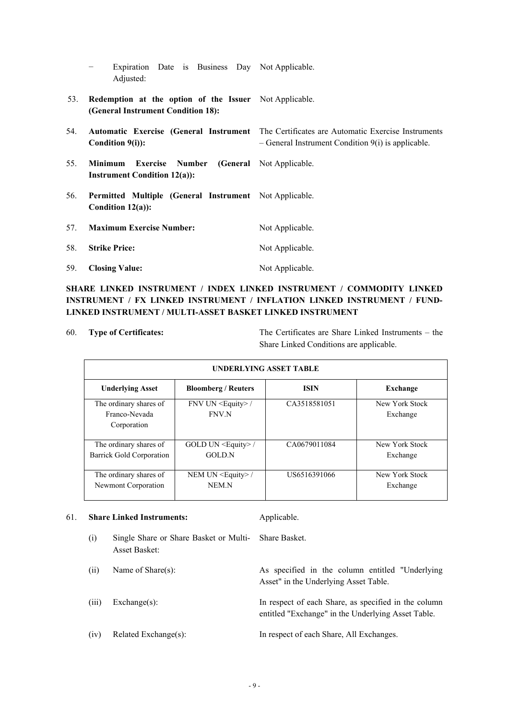|     | Expiration Date is Business Day Not Applicable.<br>Adjusted:                                        |                                                                                                                                                    |
|-----|-----------------------------------------------------------------------------------------------------|----------------------------------------------------------------------------------------------------------------------------------------------------|
| 53. | <b>Redemption at the option of the Issuer</b> Not Applicable.<br>(General Instrument Condition 18): |                                                                                                                                                    |
| 54. | Condition 9(i)):                                                                                    | Automatic Exercise (General Instrument The Certificates are Automatic Exercise Instruments<br>$-$ General Instrument Condition 9(i) is applicable. |
| 55. | <b>Exercise Number (General Not Applicable.</b><br>Minimum<br><b>Instrument Condition 12(a)):</b>   |                                                                                                                                                    |
| 56. | <b>Permitted Multiple (General Instrument</b> Not Applicable.<br>Condition $12(a)$ :                |                                                                                                                                                    |
| 57. | <b>Maximum Exercise Number:</b>                                                                     | Not Applicable.                                                                                                                                    |
| 58. | <b>Strike Price:</b>                                                                                | Not Applicable.                                                                                                                                    |
| 59. | <b>Closing Value:</b>                                                                               | Not Applicable.                                                                                                                                    |

# **SHARE LINKED INSTRUMENT / INDEX LINKED INSTRUMENT / COMMODITY LINKED INSTRUMENT / FX LINKED INSTRUMENT / INFLATION LINKED INSTRUMENT / FUND-LINKED INSTRUMENT / MULTI-ASSET BASKET LINKED INSTRUMENT**

60. **Type of Certificates:** The Certificates are Share Linked Instruments – the Share Linked Conditions are applicable.

| UNDERLYING ASSET TABLE                                 |                                              |              |                            |  |
|--------------------------------------------------------|----------------------------------------------|--------------|----------------------------|--|
| <b>Underlying Asset</b>                                | <b>Bloomberg / Reuters</b>                   | <b>ISIN</b>  | Exchange                   |  |
| The ordinary shares of<br>Franco-Nevada<br>Corporation | FNV UN <equity>/<br/><b>FNV.N</b></equity>   | CA3518581051 | New York Stock<br>Exchange |  |
| The ordinary shares of<br>Barrick Gold Corporation     | GOLD UN <equity>/<br/><b>GOLD N</b></equity> | CA0679011084 | New York Stock<br>Exchange |  |
| The ordinary shares of<br>Newmont Corporation          | NEM UN <equity>/<br/>NEM.N</equity>          | US6516391066 | New York Stock<br>Exchange |  |

# 61. **Share Linked Instruments:** Applicable.

(i) Single Share or Share Basket or Multi-

Share Basket.

Asset Basket: (ii) Name of Share(s): As specified in the column entitled "Underlying Asset" in the Underlying Asset Table. (iii) Exchange(s): In respect of each Share, as specified in the column entitled "Exchange" in the Underlying Asset Table. (iv) Related Exchange(s): In respect of each Share, All Exchanges.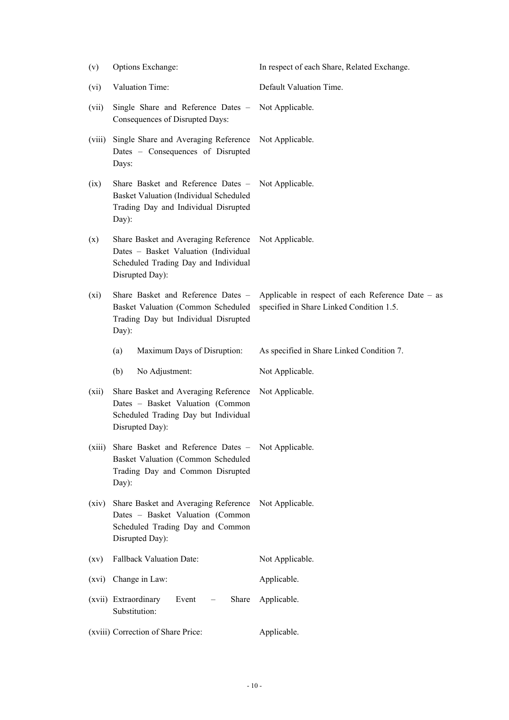| (v)     | Options Exchange:                                                                                                                             | In respect of each Share, Related Exchange.                                                   |
|---------|-----------------------------------------------------------------------------------------------------------------------------------------------|-----------------------------------------------------------------------------------------------|
| (vi)    | Valuation Time:                                                                                                                               | Default Valuation Time.                                                                       |
| (vii)   | Single Share and Reference Dates –<br>Consequences of Disrupted Days:                                                                         | Not Applicable.                                                                               |
| (viii)  | Single Share and Averaging Reference<br>Dates - Consequences of Disrupted<br>Days:                                                            | Not Applicable.                                                                               |
| (ix)    | Share Basket and Reference Dates - Not Applicable.<br>Basket Valuation (Individual Scheduled<br>Trading Day and Individual Disrupted<br>Day): |                                                                                               |
| (x)     | Share Basket and Averaging Reference<br>Dates - Basket Valuation (Individual<br>Scheduled Trading Day and Individual<br>Disrupted Day):       | Not Applicable.                                                                               |
| $(x_i)$ | Share Basket and Reference Dates -<br>Basket Valuation (Common Scheduled<br>Trading Day but Individual Disrupted<br>Day):                     | Applicable in respect of each Reference Date – as<br>specified in Share Linked Condition 1.5. |
|         | Maximum Days of Disruption:<br>(a)                                                                                                            | As specified in Share Linked Condition 7.                                                     |
|         | No Adjustment:<br>(b)                                                                                                                         | Not Applicable.                                                                               |
| (xii)   | Share Basket and Averaging Reference<br>Dates - Basket Valuation (Common<br>Scheduled Trading Day but Individual<br>Disrupted Day):           | Not Applicable.                                                                               |
| (X111)  | Share Basket and Reference Dates - Not Applicable.<br>Basket Valuation (Common Scheduled<br>Trading Day and Common Disrupted<br>Day):         |                                                                                               |
| (xiv)   | Share Basket and Averaging Reference<br>Dates - Basket Valuation (Common<br>Scheduled Trading Day and Common<br>Disrupted Day):               | Not Applicable.                                                                               |
| (xv)    | Fallback Valuation Date:                                                                                                                      | Not Applicable.                                                                               |
| (xvi)   | Change in Law:                                                                                                                                | Applicable.                                                                                   |
|         | (xvii) Extraordinary<br>Event<br>Share<br>Substitution:                                                                                       | Applicable.                                                                                   |
|         | (xviii) Correction of Share Price:                                                                                                            | Applicable.                                                                                   |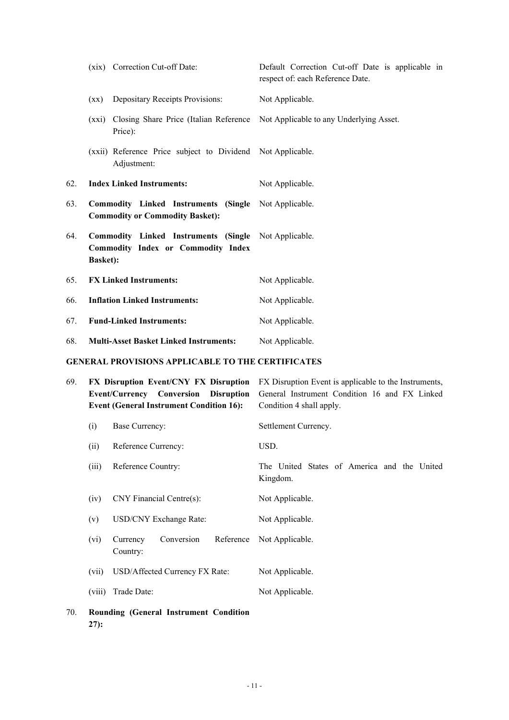| (xix) Correction Cut-off Date:                              | Default Correction Cut-off Date is applicable in<br>respect of: each Reference Date.                                                                              |  |  |
|-------------------------------------------------------------|-------------------------------------------------------------------------------------------------------------------------------------------------------------------|--|--|
| Depositary Receipts Provisions:<br>$(\mathbf{X}\mathbf{X})$ | Not Applicable.                                                                                                                                                   |  |  |
| (xxi)<br>Price):                                            | Closing Share Price (Italian Reference Not Applicable to any Underlying Asset.                                                                                    |  |  |
| Adjustment:                                                 |                                                                                                                                                                   |  |  |
| <b>Index Linked Instruments:</b>                            | Not Applicable.                                                                                                                                                   |  |  |
| <b>Commodity or Commodity Basket):</b>                      | Not Applicable.                                                                                                                                                   |  |  |
| Commodity Index or Commodity Index<br><b>Basket</b> ):      |                                                                                                                                                                   |  |  |
| <b>FX Linked Instruments:</b>                               | Not Applicable.                                                                                                                                                   |  |  |
| <b>Inflation Linked Instruments:</b>                        | Not Applicable.                                                                                                                                                   |  |  |
| <b>Fund-Linked Instruments:</b>                             | Not Applicable.                                                                                                                                                   |  |  |
| <b>Multi-Asset Basket Linked Instruments:</b>               | Not Applicable.                                                                                                                                                   |  |  |
|                                                             | (xxii) Reference Price subject to Dividend Not Applicable.<br><b>Commodity Linked Instruments (Single</b><br>Commodity Linked Instruments (Single Not Applicable. |  |  |

# **GENERAL PROVISIONS APPLICABLE TO THE CERTIFICATES**

| 69. | FX Disruption Event/CNY FX Disruption<br><b>Event/Currency Conversion</b><br><b>Disruption</b><br><b>Event (General Instrument Condition 16):</b> |                                                 | FX Disruption Event is applicable to the Instruments,<br>General Instrument Condition 16 and FX Linked<br>Condition 4 shall apply. |  |  |
|-----|---------------------------------------------------------------------------------------------------------------------------------------------------|-------------------------------------------------|------------------------------------------------------------------------------------------------------------------------------------|--|--|
|     | (i)                                                                                                                                               | Base Currency:                                  | Settlement Currency.                                                                                                               |  |  |
|     | (ii)                                                                                                                                              | Reference Currency:                             | USD.                                                                                                                               |  |  |
|     | (iii)                                                                                                                                             | Reference Country:                              | The United States of America and the United<br>Kingdom.                                                                            |  |  |
|     | (iv)                                                                                                                                              | CNY Financial Centre(s):                        | Not Applicable.                                                                                                                    |  |  |
|     | (v)                                                                                                                                               | USD/CNY Exchange Rate:                          | Not Applicable.                                                                                                                    |  |  |
|     | (vi)                                                                                                                                              | Conversion<br>Reference<br>Currency<br>Country: | Not Applicable.                                                                                                                    |  |  |
|     | (vii)<br>USD/Affected Currency FX Rate:                                                                                                           | Not Applicable.                                 |                                                                                                                                    |  |  |
|     | (viii)                                                                                                                                            | Trade Date:                                     | Not Applicable.                                                                                                                    |  |  |
| 70. | $27)$ :                                                                                                                                           | Rounding (General Instrument Condition          |                                                                                                                                    |  |  |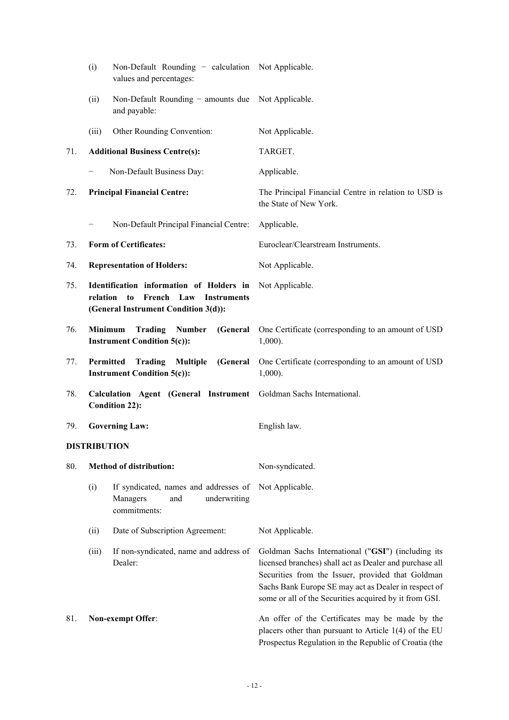|     | (i)                                                                                                                          | Non-Default Rounding - calculation Not Applicable.<br>values and percentages:            |                                                                                                                                                                                                                                                                                      |  |  |
|-----|------------------------------------------------------------------------------------------------------------------------------|------------------------------------------------------------------------------------------|--------------------------------------------------------------------------------------------------------------------------------------------------------------------------------------------------------------------------------------------------------------------------------------|--|--|
|     | (ii)                                                                                                                         | Non-Default Rounding - amounts due Not Applicable.<br>and payable:                       |                                                                                                                                                                                                                                                                                      |  |  |
|     | (iii)                                                                                                                        | Other Rounding Convention:                                                               | Not Applicable.                                                                                                                                                                                                                                                                      |  |  |
| 71. |                                                                                                                              | <b>Additional Business Centre(s):</b>                                                    | TARGET.                                                                                                                                                                                                                                                                              |  |  |
|     |                                                                                                                              | Non-Default Business Day:                                                                | Applicable.                                                                                                                                                                                                                                                                          |  |  |
| 72. | <b>Principal Financial Centre:</b>                                                                                           |                                                                                          | The Principal Financial Centre in relation to USD is<br>the State of New York.                                                                                                                                                                                                       |  |  |
|     |                                                                                                                              | Non-Default Principal Financial Centre:                                                  | Applicable.                                                                                                                                                                                                                                                                          |  |  |
| 73. |                                                                                                                              | <b>Form of Certificates:</b>                                                             | Euroclear/Clearstream Instruments.                                                                                                                                                                                                                                                   |  |  |
| 74. |                                                                                                                              | <b>Representation of Holders:</b>                                                        | Not Applicable.                                                                                                                                                                                                                                                                      |  |  |
| 75. | Identification information of Holders in<br>relation<br>French Law Instruments<br>to<br>(General Instrument Condition 3(d)): |                                                                                          | Not Applicable.                                                                                                                                                                                                                                                                      |  |  |
| 76. | <b>Minimum</b><br>Trading<br><b>Number</b><br>(General<br><b>Instrument Condition 5(c)):</b>                                 |                                                                                          | One Certificate (corresponding to an amount of USD<br>$1,000$ ).                                                                                                                                                                                                                     |  |  |
| 77. | Permitted<br>Trading<br><b>Multiple</b><br>(General<br><b>Instrument Condition 5(c)):</b>                                    |                                                                                          | One Certificate (corresponding to an amount of USD<br>$1,000$ ).                                                                                                                                                                                                                     |  |  |
| 78. | Calculation Agent (General Instrument<br><b>Condition 22):</b>                                                               |                                                                                          | Goldman Sachs International.                                                                                                                                                                                                                                                         |  |  |
| 79. | <b>Governing Law:</b>                                                                                                        |                                                                                          | English law.                                                                                                                                                                                                                                                                         |  |  |
|     | <b>DISTRIBUTION</b>                                                                                                          |                                                                                          |                                                                                                                                                                                                                                                                                      |  |  |
| 80. |                                                                                                                              | <b>Method of distribution:</b>                                                           | Non-syndicated.                                                                                                                                                                                                                                                                      |  |  |
|     | (i)                                                                                                                          | If syndicated, names and addresses of<br>Managers<br>and<br>underwriting<br>commitments: | Not Applicable.                                                                                                                                                                                                                                                                      |  |  |
|     | (ii)                                                                                                                         | Date of Subscription Agreement:                                                          | Not Applicable.                                                                                                                                                                                                                                                                      |  |  |
|     | (iii)                                                                                                                        | If non-syndicated, name and address of<br>Dealer:                                        | Goldman Sachs International ("GSI") (including its<br>licensed branches) shall act as Dealer and purchase all<br>Securities from the Issuer, provided that Goldman<br>Sachs Bank Europe SE may act as Dealer in respect of<br>some or all of the Securities acquired by it from GSI. |  |  |
| 81. |                                                                                                                              | <b>Non-exempt Offer:</b>                                                                 | An offer of the Certificates may be made by the<br>placers other than pursuant to Article $1(4)$ of the EU<br>Prospectus Regulation in the Republic of Croatia (the                                                                                                                  |  |  |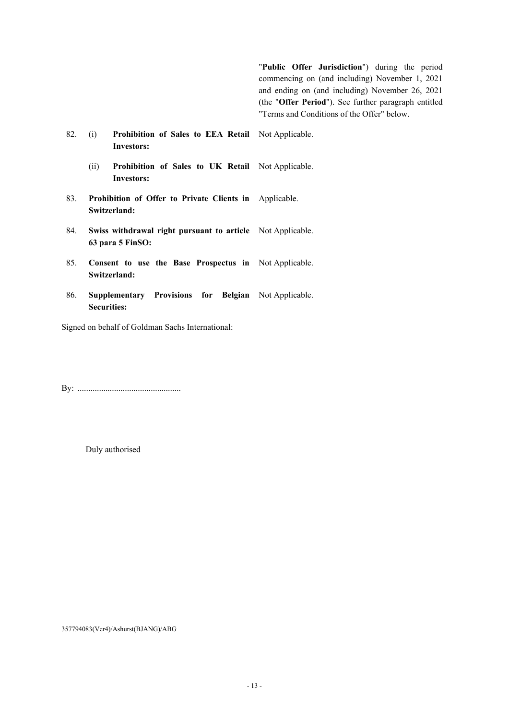"**Public Offer Jurisdiction**") during the period commencing on (and including) November 1, 2021 and ending on (and including) November 26, 2021 (the "**Offer Period**"). See further paragraph entitled "Terms and Conditions of the Offer" below.

82. (i) **Prohibition of Sales to EEA Retail**  Not Applicable. **Investors:** (ii) **Prohibition of Sales to UK Retail**  Not Applicable. **Investors:** 83. **Prohibition of Offer to Private Clients in**  Applicable. **Switzerland:** 84. **Swiss withdrawal right pursuant to article**  Not Applicable. **63 para 5 FinSO:** 85. **Consent to use the Base Prospectus in**  Not Applicable. **Switzerland:** 86. **Supplementary Provisions for Securities:** Belgian Not Applicable.

Signed on behalf of Goldman Sachs International:

By: ................................................

Duly authorised

357794083(Ver4)/Ashurst(BJANG)/ABG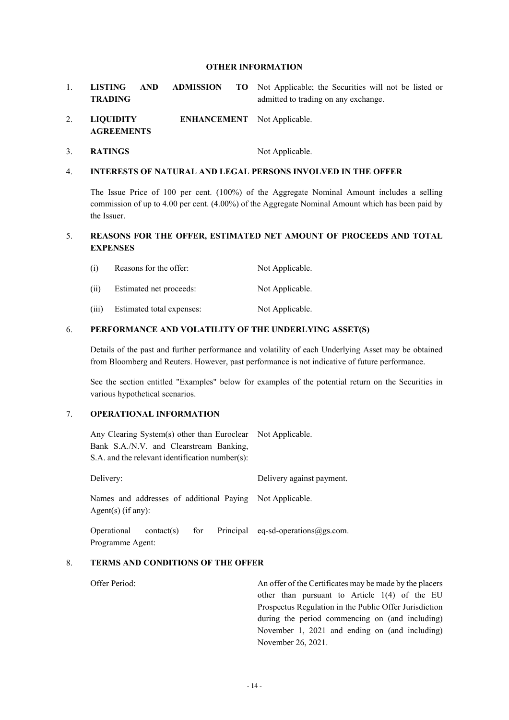# **OTHER INFORMATION**

- 1. **LISTING AND ADMISSION TO TRADING** Not Applicable; the Securities will not be listed or admitted to trading on any exchange.
- 2. **LIQUIDITY ENHANCEMENT**  Not Applicable. **AGREEMENTS**
- 3. **RATINGS** Not Applicable.

## 4. **INTERESTS OF NATURAL AND LEGAL PERSONS INVOLVED IN THE OFFER**

The Issue Price of 100 per cent. (100%) of the Aggregate Nominal Amount includes a selling commission of up to 4.00 per cent. (4.00%) of the Aggregate Nominal Amount which has been paid by the Issuer.

# 5. **REASONS FOR THE OFFER, ESTIMATED NET AMOUNT OF PROCEEDS AND TOTAL EXPENSES**

| (i)   | Reasons for the offer:    | Not Applicable. |
|-------|---------------------------|-----------------|
| (ii)  | Estimated net proceeds:   | Not Applicable. |
| (iii) | Estimated total expenses: | Not Applicable. |

## 6. **PERFORMANCE AND VOLATILITY OF THE UNDERLYING ASSET(S)**

Details of the past and further performance and volatility of each Underlying Asset may be obtained from Bloomberg and Reuters. However, past performance is not indicative of future performance.

See the section entitled "Examples" below for examples of the potential return on the Securities in various hypothetical scenarios.

# 7. **OPERATIONAL INFORMATION**

| Any Clearing System(s) other than Euroclear Not Applicable.<br>Bank S.A./N.V. and Clearstream Banking, |                                             |  |
|--------------------------------------------------------------------------------------------------------|---------------------------------------------|--|
| $S.A.$ and the relevant identification number(s):                                                      |                                             |  |
| Delivery:                                                                                              | Delivery against payment.                   |  |
| Names and addresses of additional Paying Not Applicable.<br>Agent(s) $(if any):$                       |                                             |  |
| for<br>Operational<br>contact(s)<br>Programme Agent:                                                   | Principal eq-sd-operations $\omega$ gs.com. |  |

## 8. **TERMS AND CONDITIONS OF THE OFFER**

Offer Period: An offer of the Certificates may be made by the placers other than pursuant to Article 1(4) of the EU Prospectus Regulation in the Public Offer Jurisdiction during the period commencing on (and including) November 1, 2021 and ending on (and including) November 26, 2021.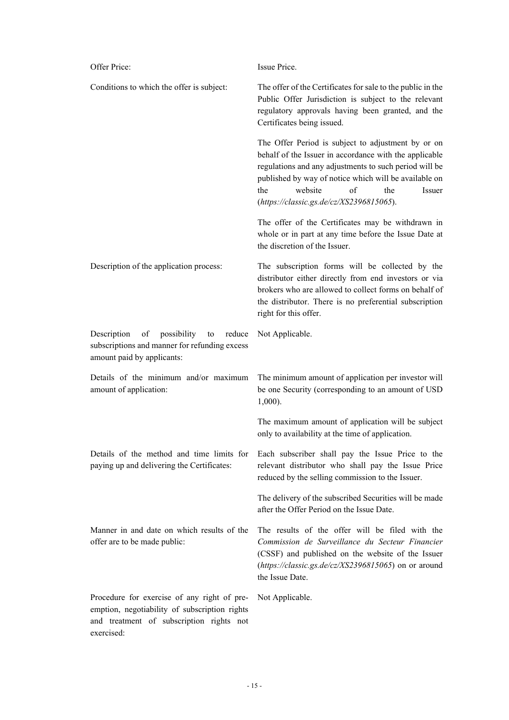| Offer Price:                                                                                                                                           | Issue Price.                                                                                                                                                                                                                                                                                                               |
|--------------------------------------------------------------------------------------------------------------------------------------------------------|----------------------------------------------------------------------------------------------------------------------------------------------------------------------------------------------------------------------------------------------------------------------------------------------------------------------------|
| Conditions to which the offer is subject:                                                                                                              | The offer of the Certificates for sale to the public in the<br>Public Offer Jurisdiction is subject to the relevant<br>regulatory approvals having been granted, and the<br>Certificates being issued.                                                                                                                     |
|                                                                                                                                                        | The Offer Period is subject to adjustment by or on<br>behalf of the Issuer in accordance with the applicable<br>regulations and any adjustments to such period will be<br>published by way of notice which will be available on<br>of<br>website<br>the<br>the<br>Issuer<br>$(\hbar tps://classic.gs.de/cz/XS2396815065).$ |
|                                                                                                                                                        | The offer of the Certificates may be withdrawn in<br>whole or in part at any time before the Issue Date at<br>the discretion of the Issuer.                                                                                                                                                                                |
| Description of the application process:                                                                                                                | The subscription forms will be collected by the<br>distributor either directly from end investors or via<br>brokers who are allowed to collect forms on behalf of<br>the distributor. There is no preferential subscription<br>right for this offer.                                                                       |
| possibility<br>Description<br>of<br>reduce<br>to<br>subscriptions and manner for refunding excess<br>amount paid by applicants:                        | Not Applicable.                                                                                                                                                                                                                                                                                                            |
| Details of the minimum and/or maximum<br>amount of application:                                                                                        | The minimum amount of application per investor will<br>be one Security (corresponding to an amount of USD<br>$1,000$ ).                                                                                                                                                                                                    |
|                                                                                                                                                        | The maximum amount of application will be subject<br>only to availability at the time of application.                                                                                                                                                                                                                      |
| Details of the method and time limits for<br>paying up and delivering the Certificates:                                                                | Each subscriber shall pay the Issue Price to the<br>relevant distributor who shall pay the Issue Price<br>reduced by the selling commission to the Issuer.                                                                                                                                                                 |
|                                                                                                                                                        | The delivery of the subscribed Securities will be made<br>after the Offer Period on the Issue Date.                                                                                                                                                                                                                        |
| Manner in and date on which results of the<br>offer are to be made public:                                                                             | The results of the offer will be filed with the<br>Commission de Surveillance du Secteur Financier<br>(CSSF) and published on the website of the Issuer<br>$(htips://classic.gs.de/cz/XS2396815065)$ on or around<br>the Issue Date.                                                                                       |
| Procedure for exercise of any right of pre-<br>emption, negotiability of subscription rights<br>and treatment of subscription rights not<br>exercised: | Not Applicable.                                                                                                                                                                                                                                                                                                            |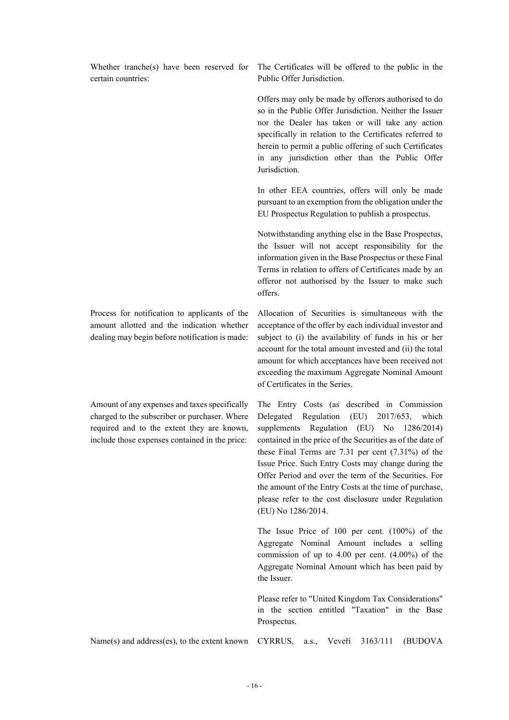Whether tranche(s) have been reserved for certain countries:

Process for notification to applicants of the amount allotted and the indication whether dealing may begin before notification is made:

Amount of any expenses and taxes specifically charged to the subscriber or purchaser. Where required and to the extent they are known, include those expenses contained in the price:

The Certificates will be offered to the public in the Public Offer Jurisdiction.

Offers may only be made by offerors authorised to do so in the Public Offer Jurisdiction. Neither the Issuer nor the Dealer has taken or will take any action specifically in relation to the Certificates referred to herein to permit a public offering of such Certificates in any jurisdiction other than the Public Offer Jurisdiction.

In other EEA countries, offers will only be made pursuant to an exemption from the obligation under the EU Prospectus Regulation to publish a prospectus.

Notwithstanding anything else in the Base Prospectus, the Issuer will not accept responsibility for the information given in the Base Prospectus or these Final Terms in relation to offers of Certificates made by an offeror not authorised by the Issuer to make such offers.

Allocation of Securities is simultaneous with the acceptance of the offer by each individual investor and subject to (i) the availability of funds in his or her account for the total amount invested and (ii) the total amount for which acceptances have been received not exceeding the maximum Aggregate Nominal Amount of Certificates in the Series.

The Entry Costs (as described in Commission Delegated Regulation (EU) 2017/653, which supplements Regulation (EU) No 1286/2014) contained in the price of the Securities as of the date of these Final Terms are 7.31 per cent (7.31%) of the Issue Price. Such Entry Costs may change during the Offer Period and over the term of the Securities. For the amount of the Entry Costs at the time of purchase, please refer to the cost disclosure under Regulation (EU) No 1286/2014.

The Issue Price of 100 per cent. (100%) of the Aggregate Nominal Amount includes a selling commission of up to 4.00 per cent. (4.00%) of the Aggregate Nominal Amount which has been paid by the Issuer.

Please refer to "United Kingdom Tax Considerations" in the section entitled "Taxation" in the Base Prospectus.

Name(s) and address(es), to the extent known CYRRUS, a.s., Veveří 3163/111 (BUDOVA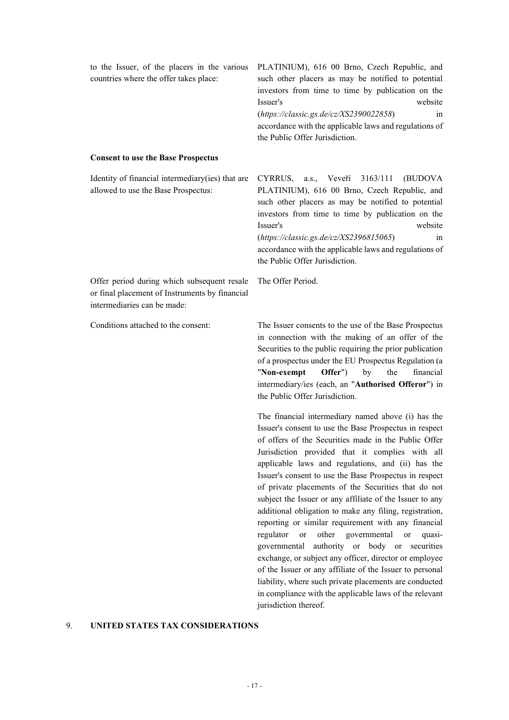| to the Issuer, of the placers in the various<br>countries where the offer takes place:                                       | PLATINIUM), 616 00 Brno, Czech Republic, and<br>such other placers as may be notified to potential<br>investors from time to time by publication on the<br>Issuer's<br>website<br>$(htips://classic.gs.de/cz/XS2390022858)$<br>1n<br>accordance with the applicable laws and regulations of<br>the Public Offer Jurisdiction.                                                                                                                                                                                                                                                                                                                                                                                                                                                                                        |
|------------------------------------------------------------------------------------------------------------------------------|----------------------------------------------------------------------------------------------------------------------------------------------------------------------------------------------------------------------------------------------------------------------------------------------------------------------------------------------------------------------------------------------------------------------------------------------------------------------------------------------------------------------------------------------------------------------------------------------------------------------------------------------------------------------------------------------------------------------------------------------------------------------------------------------------------------------|
| <b>Consent to use the Base Prospectus</b>                                                                                    |                                                                                                                                                                                                                                                                                                                                                                                                                                                                                                                                                                                                                                                                                                                                                                                                                      |
| Identity of financial intermediary(ies) that are<br>allowed to use the Base Prospectus:                                      | 3163/111<br>CYRRUS,<br>a.s., Veveří<br>(BUDOVA)<br>PLATINIUM), 616 00 Brno, Czech Republic, and<br>such other placers as may be notified to potential<br>investors from time to time by publication on the<br>Issuer's<br>website<br>$(htips://classic.gs.de/cz/XS2396815065)$<br>1n<br>accordance with the applicable laws and regulations of<br>the Public Offer Jurisdiction.                                                                                                                                                                                                                                                                                                                                                                                                                                     |
| Offer period during which subsequent resale<br>or final placement of Instruments by financial<br>intermediaries can be made: | The Offer Period.                                                                                                                                                                                                                                                                                                                                                                                                                                                                                                                                                                                                                                                                                                                                                                                                    |
| Conditions attached to the consent:                                                                                          | The Issuer consents to the use of the Base Prospectus<br>in connection with the making of an offer of the<br>Securities to the public requiring the prior publication<br>of a prospectus under the EU Prospectus Regulation (a<br>"Non-exempt<br>Offer")<br>by<br>the<br>financial<br>intermediary/ies (each, an "Authorised Offeror") in<br>the Public Offer Jurisdiction.                                                                                                                                                                                                                                                                                                                                                                                                                                          |
|                                                                                                                              | The financial intermediary named above (i) has the<br>Issuer's consent to use the Base Prospectus in respect<br>of offers of the Securities made in the Public Offer<br>Jurisdiction provided that it complies with all<br>applicable laws and regulations, and (ii) has the<br>Issuer's consent to use the Base Prospectus in respect<br>of private placements of the Securities that do not<br>subject the Issuer or any affiliate of the Issuer to any<br>additional obligation to make any filing, registration,<br>reporting or similar requirement with any financial<br>other governmental<br>regulator<br><b>or</b><br>or<br>quasi-<br>authority or body or securities<br>governmental<br>exchange, or subject any officer, director or employee<br>of the Issuer or any affiliate of the Issuer to personal |

jurisdiction thereof.

liability, where such private placements are conducted in compliance with the applicable laws of the relevant

# 9. **UNITED STATES TAX CONSIDERATIONS**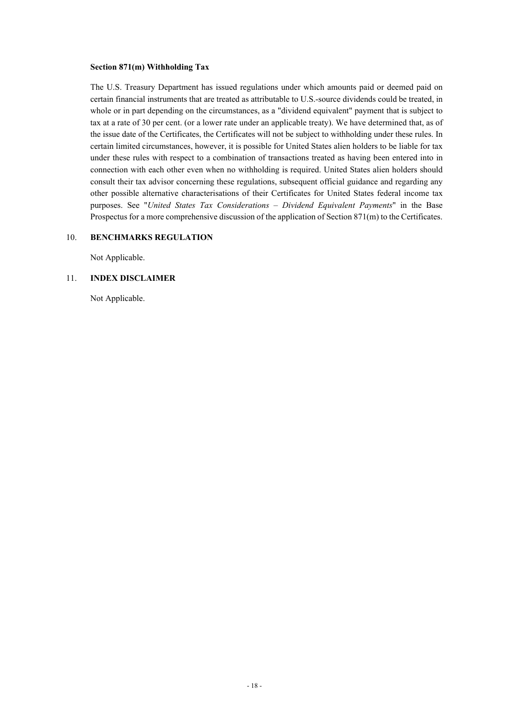## **Section 871(m) Withholding Tax**

The U.S. Treasury Department has issued regulations under which amounts paid or deemed paid on certain financial instruments that are treated as attributable to U.S.-source dividends could be treated, in whole or in part depending on the circumstances, as a "dividend equivalent" payment that is subject to tax at a rate of 30 per cent. (or a lower rate under an applicable treaty). We have determined that, as of the issue date of the Certificates, the Certificates will not be subject to withholding under these rules. In certain limited circumstances, however, it is possible for United States alien holders to be liable for tax under these rules with respect to a combination of transactions treated as having been entered into in connection with each other even when no withholding is required. United States alien holders should consult their tax advisor concerning these regulations, subsequent official guidance and regarding any other possible alternative characterisations of their Certificates for United States federal income tax purposes. See "*United States Tax Considerations – Dividend Equivalent Payments*" in the Base Prospectus for a more comprehensive discussion of the application of Section 871(m) to the Certificates.

## 10. **BENCHMARKS REGULATION**

Not Applicable.

## 11. **INDEX DISCLAIMER**

Not Applicable.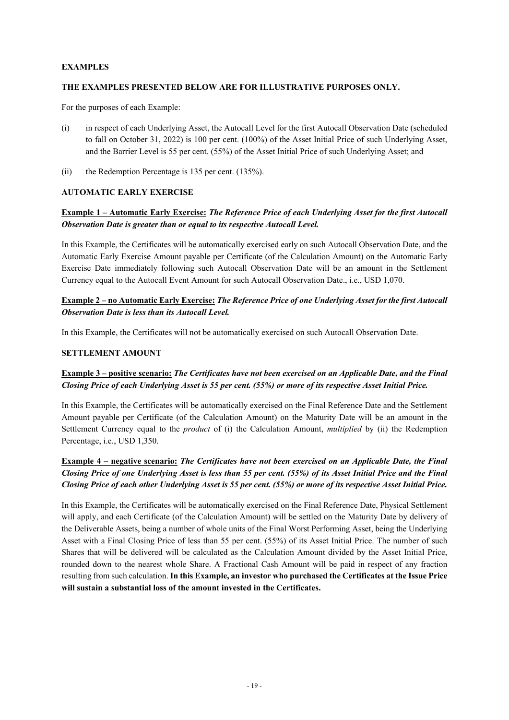# **EXAMPLES**

# **THE EXAMPLES PRESENTED BELOW ARE FOR ILLUSTRATIVE PURPOSES ONLY.**

For the purposes of each Example:

- (i) in respect of each Underlying Asset, the Autocall Level for the first Autocall Observation Date (scheduled to fall on October 31, 2022) is 100 per cent. (100%) of the Asset Initial Price of such Underlying Asset, and the Barrier Level is 55 per cent. (55%) of the Asset Initial Price of such Underlying Asset; and
- (ii) the Redemption Percentage is 135 per cent. (135%).

# **AUTOMATIC EARLY EXERCISE**

# **Example 1 – Automatic Early Exercise:** *The Reference Price of each Underlying Asset for the first Autocall Observation Date is greater than or equal to its respective Autocall Level.*

In this Example, the Certificates will be automatically exercised early on such Autocall Observation Date, and the Automatic Early Exercise Amount payable per Certificate (of the Calculation Amount) on the Automatic Early Exercise Date immediately following such Autocall Observation Date will be an amount in the Settlement Currency equal to the Autocall Event Amount for such Autocall Observation Date., i.e., USD 1,070.

# **Example 2 – no Automatic Early Exercise:** *The Reference Price of one Underlying Asset for the first Autocall Observation Date is less than its Autocall Level.*

In this Example, the Certificates will not be automatically exercised on such Autocall Observation Date.

# **SETTLEMENT AMOUNT**

# **Example 3 – positive scenario:** *The Certificates have not been exercised on an Applicable Date, and the Final Closing Price of each Underlying Asset is 55 per cent. (55%) or more of its respective Asset Initial Price.*

In this Example, the Certificates will be automatically exercised on the Final Reference Date and the Settlement Amount payable per Certificate (of the Calculation Amount) on the Maturity Date will be an amount in the Settlement Currency equal to the *product* of (i) the Calculation Amount, *multiplied* by (ii) the Redemption Percentage, i.e., USD 1,350.

# **Example 4 – negative scenario:** *The Certificates have not been exercised on an Applicable Date, the Final Closing Price of one Underlying Asset is less than 55 per cent. (55%) of its Asset Initial Price and the Final Closing Price of each other Underlying Asset is 55 per cent. (55%) or more of its respective Asset Initial Price.*

In this Example, the Certificates will be automatically exercised on the Final Reference Date, Physical Settlement will apply, and each Certificate (of the Calculation Amount) will be settled on the Maturity Date by delivery of the Deliverable Assets, being a number of whole units of the Final Worst Performing Asset, being the Underlying Asset with a Final Closing Price of less than 55 per cent. (55%) of its Asset Initial Price. The number of such Shares that will be delivered will be calculated as the Calculation Amount divided by the Asset Initial Price, rounded down to the nearest whole Share. A Fractional Cash Amount will be paid in respect of any fraction resulting from such calculation. **In this Example, an investor who purchased the Certificates at the Issue Price will sustain a substantial loss of the amount invested in the Certificates.**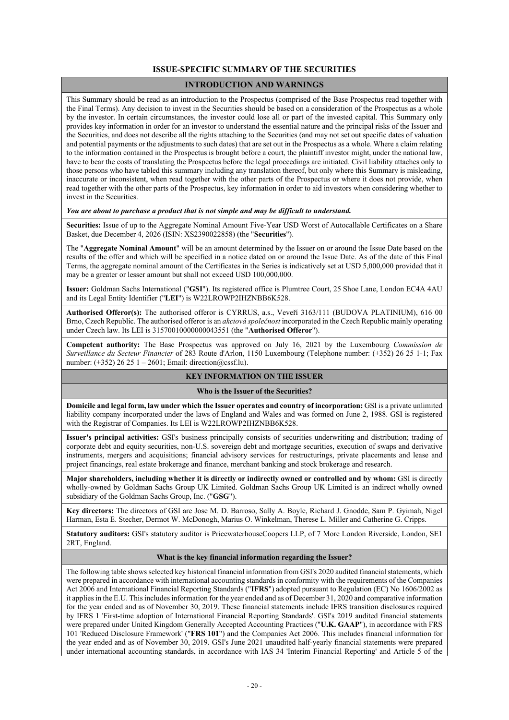## **ISSUE-SPECIFIC SUMMARY OF THE SECURITIES**

## **INTRODUCTION AND WARNINGS**

This Summary should be read as an introduction to the Prospectus (comprised of the Base Prospectus read together with the Final Terms). Any decision to invest in the Securities should be based on a consideration of the Prospectus as a whole by the investor. In certain circumstances, the investor could lose all or part of the invested capital. This Summary only provides key information in order for an investor to understand the essential nature and the principal risks of the Issuer and the Securities, and does not describe all the rights attaching to the Securities (and may not set out specific dates of valuation and potential payments or the adjustments to such dates) that are set out in the Prospectus as a whole. Where a claim relating to the information contained in the Prospectus is brought before a court, the plaintiff investor might, under the national law, have to bear the costs of translating the Prospectus before the legal proceedings are initiated. Civil liability attaches only to those persons who have tabled this summary including any translation thereof, but only where this Summary is misleading, inaccurate or inconsistent, when read together with the other parts of the Prospectus or where it does not provide, when read together with the other parts of the Prospectus, key information in order to aid investors when considering whether to invest in the Securities.

### *You are about to purchase a product that is not simple and may be difficult to understand.*

**Securities:** Issue of up to the Aggregate Nominal Amount Five-Year USD Worst of Autocallable Certificates on a Share Basket, due December 4, 2026 (ISIN: XS2390022858) (the "**Securities**").

The "**Aggregate Nominal Amount**" will be an amount determined by the Issuer on or around the Issue Date based on the results of the offer and which will be specified in a notice dated on or around the Issue Date. As of the date of this Final Terms, the aggregate nominal amount of the Certificates in the Series is indicatively set at USD 5,000,000 provided that it may be a greater or lesser amount but shall not exceed USD 100,000,000.

**Issuer:** Goldman Sachs International ("**GSI**"). Its registered office is Plumtree Court, 25 Shoe Lane, London EC4A 4AU and its Legal Entity Identifier ("**LEI**") is W22LROWP2IHZNBB6K528.

**Authorised Offeror(s):** The authorised offeror is CYRRUS, a.s., Veveří 3163/111 (BUDOVA PLATINIUM), 616 00 Brno, Czech Republic. The authorised offeror is an *akciová společnost* incorporated in the Czech Republic mainly operating under Czech law. Its LEI is 31570010000000043551 (the "**Authorised Offeror**").

**Competent authority:** The Base Prospectus was approved on July 16, 2021 by the Luxembourg *Commission de Surveillance du Secteur Financier* of 283 Route d'Arlon, 1150 Luxembourg (Telephone number: (+352) 26 25 1-1; Fax number: (+352) 26 25 1 – 2601; Email: direction@cssf.lu).

## **KEY INFORMATION ON THE ISSUER**

## **Who is the Issuer of the Securities?**

**Domicile and legal form, law under which the Issuer operates and country of incorporation:** GSI is a private unlimited liability company incorporated under the laws of England and Wales and was formed on June 2, 1988. GSI is registered with the Registrar of Companies. Its LEI is W22LROWP2IHZNBB6K528.

**Issuer's principal activities:** GSI's business principally consists of securities underwriting and distribution; trading of corporate debt and equity securities, non-U.S. sovereign debt and mortgage securities, execution of swaps and derivative instruments, mergers and acquisitions; financial advisory services for restructurings, private placements and lease and project financings, real estate brokerage and finance, merchant banking and stock brokerage and research.

**Major shareholders, including whether it is directly or indirectly owned or controlled and by whom:** GSI is directly wholly-owned by Goldman Sachs Group UK Limited. Goldman Sachs Group UK Limited is an indirect wholly owned subsidiary of the Goldman Sachs Group, Inc. ("**GSG**").

**Key directors:** The directors of GSI are Jose M. D. Barroso, Sally A. Boyle, Richard J. Gnodde, Sam P. Gyimah, Nigel Harman, Esta E. Stecher, Dermot W. McDonogh, Marius O. Winkelman, Therese L. Miller and Catherine G. Cripps.

**Statutory auditors:** GSI's statutory auditor is PricewaterhouseCoopers LLP, of 7 More London Riverside, London, SE1 2RT, England.

#### **What is the key financial information regarding the Issuer?**

The following table shows selected key historical financial information from GSI's 2020 audited financial statements, which were prepared in accordance with international accounting standards in conformity with the requirements of the Companies Act 2006 and International Financial Reporting Standards ("**IFRS**") adopted pursuant to Regulation (EC) No 1606/2002 as it applies in the E.U. This includes information for the year ended and as of December 31, 2020 and comparative information for the year ended and as of November 30, 2019. These financial statements include IFRS transition disclosures required by IFRS 1 'First-time adoption of International Financial Reporting Standards'. GSI's 2019 audited financial statements were prepared under United Kingdom Generally Accepted Accounting Practices ("**U.K. GAAP**"), in accordance with FRS 101 'Reduced Disclosure Framework' ("**FRS 101**") and the Companies Act 2006. This includes financial information for the year ended and as of November 30, 2019. GSI's June 2021 unaudited half-yearly financial statements were prepared under international accounting standards, in accordance with IAS 34 'Interim Financial Reporting' and Article 5 of the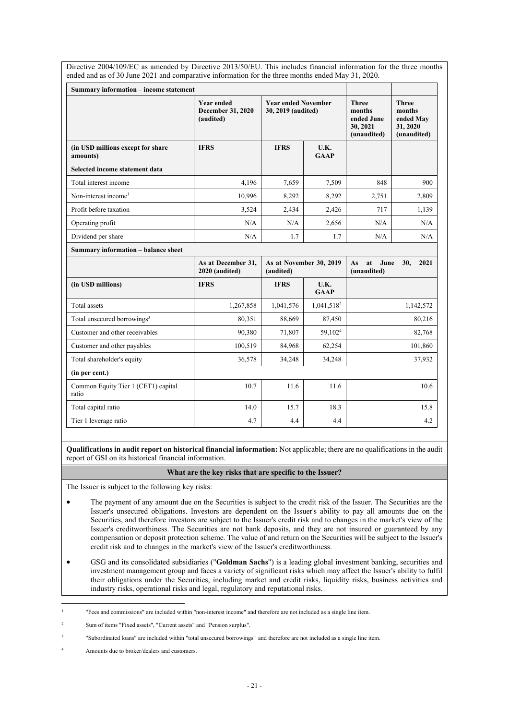Directive 2004/109/EC as amended by Directive 2013/50/EU. This includes financial information for the three months ended and as of 30 June 2021 and comparative information for the three months ended May 31, 2020.

| Summary information - income statement        |                                                     |                                                  |                        |                                                                 |                                                                |
|-----------------------------------------------|-----------------------------------------------------|--------------------------------------------------|------------------------|-----------------------------------------------------------------|----------------------------------------------------------------|
|                                               | <b>Year ended</b><br>December 31, 2020<br>(audited) | <b>Year ended November</b><br>30, 2019 (audited) |                        | <b>Three</b><br>months<br>ended June<br>30, 2021<br>(unaudited) | <b>Three</b><br>months<br>ended May<br>31, 2020<br>(unaudited) |
| (in USD millions except for share<br>amounts) | <b>IFRS</b>                                         | <b>IFRS</b>                                      | U.K.<br><b>GAAP</b>    |                                                                 |                                                                |
| Selected income statement data                |                                                     |                                                  |                        |                                                                 |                                                                |
| Total interest income                         | 4,196                                               | 7,659                                            | 7,509                  | 848                                                             | 900                                                            |
| Non-interest income <sup>1</sup>              | 10.996                                              | 8,292                                            | 8,292                  | 2,751                                                           | 2,809                                                          |
| Profit before taxation                        | 3,524                                               | 2,434                                            | 2,426                  | 717                                                             | 1,139                                                          |
| Operating profit                              | N/A                                                 | N/A                                              | 2,656                  | N/A                                                             | N/A                                                            |
| Dividend per share                            | N/A                                                 | 1.7                                              | 1.7                    | N/A                                                             | N/A                                                            |
| Summary information - balance sheet           |                                                     |                                                  |                        |                                                                 |                                                                |
|                                               | As at December 31,<br>2020 (audited)                | As at November 30, 2019<br>(audited)             |                        | June<br>at<br>As<br>(unaudited)                                 | 30.<br>2021                                                    |
| (in USD millions)                             | <b>IFRS</b>                                         | <b>IFRS</b>                                      | U.K.<br><b>GAAP</b>    |                                                                 |                                                                |
| Total assets                                  | 1,267,858                                           | 1,041,576                                        | 1,041,518 <sup>2</sup> |                                                                 | 1,142,572                                                      |
| Total unsecured borrowings <sup>3</sup>       | 80,351                                              | 88,669                                           | 87,450                 |                                                                 | 80,216                                                         |
| Customer and other receivables                | 90,380                                              | 71,807                                           | 59,102 <sup>4</sup>    | 82,768                                                          |                                                                |
| Customer and other payables                   | 100,519                                             | 84,968                                           | 62,254                 | 101,860                                                         |                                                                |
| Total shareholder's equity                    | 36,578                                              | 34,248                                           | 34,248                 |                                                                 | 37,932                                                         |
| (in per cent.)                                |                                                     |                                                  |                        |                                                                 |                                                                |
| Common Equity Tier 1 (CET1) capital<br>ratio  | 10.7                                                | 11.6                                             | 11.6                   |                                                                 | 10.6                                                           |
| Total capital ratio                           | 14.0                                                | 15.7                                             | 18.3                   |                                                                 | 15.8                                                           |
| Tier 1 leverage ratio                         | 4.7                                                 | 4.4                                              | 4.4                    |                                                                 | 4.2                                                            |

**Qualifications in audit report on historical financial information:** Not applicable; there are no qualifications in the audit report of GSI on its historical financial information.

## **What are the key risks that are specific to the Issuer?**

The Issuer is subject to the following key risks:

- The payment of any amount due on the Securities is subject to the credit risk of the Issuer. The Securities are the Issuer's unsecured obligations. Investors are dependent on the Issuer's ability to pay all amounts due on the Securities, and therefore investors are subject to the Issuer's credit risk and to changes in the market's view of the Issuer's creditworthiness. The Securities are not bank deposits, and they are not insured or guaranteed by any compensation or deposit protection scheme. The value of and return on the Securities will be subject to the Issuer's credit risk and to changes in the market's view of the Issuer's creditworthiness.
- GSG and its consolidated subsidiaries ("**Goldman Sachs**") is a leading global investment banking, securities and investment management group and faces a variety of significant risks which may affect the Issuer's ability to fulfil their obligations under the Securities, including market and credit risks, liquidity risks, business activities and industry risks, operational risks and legal, regulatory and reputational risks.

<sup>1</sup> "Fees and commissions" are included within "non-interest income" and therefore are not included as a single line item.

<sup>2</sup> Sum of items "Fixed assets", "Current assets" and "Pension surplus".

<sup>3</sup> "Subordinated loans" are included within "total unsecured borrowings" and therefore are not included as a single line item.

<sup>4</sup> Amounts due to broker/dealers and customers.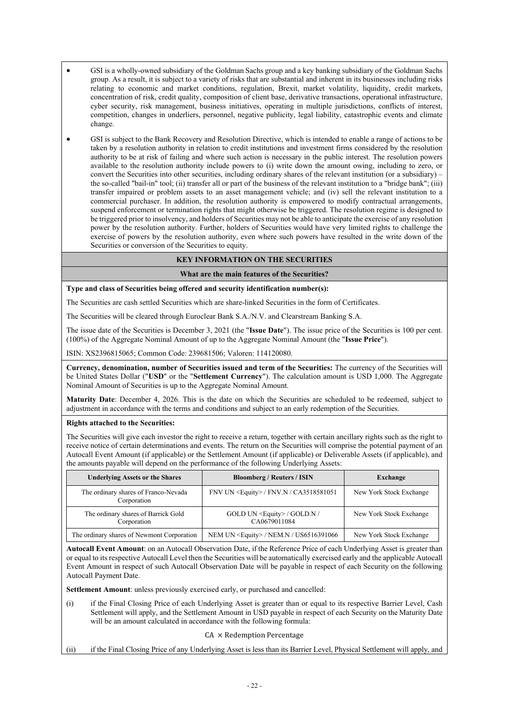- GSI is a wholly-owned subsidiary of the Goldman Sachs group and a key banking subsidiary of the Goldman Sachs group. As a result, it is subject to a variety of risks that are substantial and inherent in its businesses including risks relating to economic and market conditions, regulation, Brexit, market volatility, liquidity, credit markets, concentration of risk, credit quality, composition of client base, derivative transactions, operational infrastructure, cyber security, risk management, business initiatives, operating in multiple jurisdictions, conflicts of interest, competition, changes in underliers, personnel, negative publicity, legal liability, catastrophic events and climate change.
- GSI is subject to the Bank Recovery and Resolution Directive, which is intended to enable a range of actions to be taken by a resolution authority in relation to credit institutions and investment firms considered by the resolution authority to be at risk of failing and where such action is necessary in the public interest. The resolution powers available to the resolution authority include powers to (i) write down the amount owing, including to zero, or convert the Securities into other securities, including ordinary shares of the relevant institution (or a subsidiary) – the so-called "bail-in" tool; (ii) transfer all or part of the business of the relevant institution to a "bridge bank"; (iii) transfer impaired or problem assets to an asset management vehicle; and (iv) sell the relevant institution to a commercial purchaser. In addition, the resolution authority is empowered to modify contractual arrangements, suspend enforcement or termination rights that might otherwise be triggered. The resolution regime is designed to be triggered prior to insolvency, and holders of Securities may not be able to anticipate the exercise of any resolution power by the resolution authority. Further, holders of Securities would have very limited rights to challenge the exercise of powers by the resolution authority, even where such powers have resulted in the write down of the Securities or conversion of the Securities to equity.

# **KEY INFORMATION ON THE SECURITIES**

## **What are the main features of the Securities?**

#### **Type and class of Securities being offered and security identification number(s):**

The Securities are cash settled Securities which are share-linked Securities in the form of Certificates.

The Securities will be cleared through Euroclear Bank S.A./N.V. and Clearstream Banking S.A.

The issue date of the Securities is December 3, 2021 (the "**Issue Date**"). The issue price of the Securities is 100 per cent. (100%) of the Aggregate Nominal Amount of up to the Aggregate Nominal Amount (the "**Issue Price**").

ISIN: XS2396815065; Common Code: 239681506; Valoren: 114120080.

**Currency, denomination, number of Securities issued and term of the Securities:** The currency of the Securities will be United States Dollar ("**USD**" or the "**Settlement Currency**"). The calculation amount is USD 1,000. The Aggregate Nominal Amount of Securities is up to the Aggregate Nominal Amount.

**Maturity Date**: December 4, 2026. This is the date on which the Securities are scheduled to be redeemed, subject to adjustment in accordance with the terms and conditions and subject to an early redemption of the Securities.

#### **Rights attached to the Securities:**

The Securities will give each investor the right to receive a return, together with certain ancillary rights such as the right to receive notice of certain determinations and events. The return on the Securities will comprise the potential payment of an Autocall Event Amount (if applicable) or the Settlement Amount (if applicable) or Deliverable Assets (if applicable), and the amounts payable will depend on the performance of the following Underlying Assets:

| <b>Underlying Assets or the Shares</b>              | <b>Bloomberg / Reuters / ISIN</b>                     | Exchange                |
|-----------------------------------------------------|-------------------------------------------------------|-------------------------|
| The ordinary shares of Franco-Nevada<br>Corporation | FNV UN <equity> / FNV.N / CA3518581051</equity>       | New York Stock Exchange |
| The ordinary shares of Barrick Gold<br>Corporation  | GOLD UN <equity> / GOLD.N /<br/>CA0679011084</equity> | New York Stock Exchange |
| The ordinary shares of Newmont Corporation          | NEM UN <equity> / NEM.N / US6516391066</equity>       | New York Stock Exchange |

**Autocall Event Amount**: on an Autocall Observation Date, if the Reference Price of each Underlying Asset is greater than or equal to its respective Autocall Level then the Securities will be automatically exercised early and the applicable Autocall Event Amount in respect of such Autocall Observation Date will be payable in respect of each Security on the following Autocall Payment Date.

**Settlement Amount**: unless previously exercised early, or purchased and cancelled:

(i) if the Final Closing Price of each Underlying Asset is greater than or equal to its respective Barrier Level, Cash Settlement will apply, and the Settlement Amount in USD payable in respect of each Security on the Maturity Date will be an amount calculated in accordance with the following formula:

## CA × Redemption Percentage

(ii) if the Final Closing Price of any Underlying Asset is less than its Barrier Level, Physical Settlement will apply, and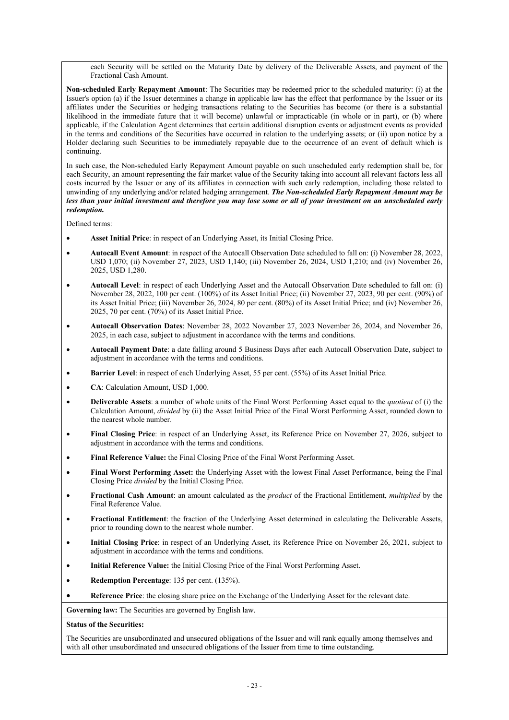each Security will be settled on the Maturity Date by delivery of the Deliverable Assets, and payment of the Fractional Cash Amount.

**Non-scheduled Early Repayment Amount**: The Securities may be redeemed prior to the scheduled maturity: (i) at the Issuer's option (a) if the Issuer determines a change in applicable law has the effect that performance by the Issuer or its affiliates under the Securities or hedging transactions relating to the Securities has become (or there is a substantial likelihood in the immediate future that it will become) unlawful or impracticable (in whole or in part), or (b) where applicable, if the Calculation Agent determines that certain additional disruption events or adjustment events as provided in the terms and conditions of the Securities have occurred in relation to the underlying assets; or (ii) upon notice by a Holder declaring such Securities to be immediately repayable due to the occurrence of an event of default which is continuing.

In such case, the Non-scheduled Early Repayment Amount payable on such unscheduled early redemption shall be, for each Security, an amount representing the fair market value of the Security taking into account all relevant factors less all costs incurred by the Issuer or any of its affiliates in connection with such early redemption, including those related to unwinding of any underlying and/or related hedging arrangement. *The Non-scheduled Early Repayment Amount may be less than your initial investment and therefore you may lose some or all of your investment on an unscheduled early redemption.*

Defined terms:

- **Asset Initial Price**: in respect of an Underlying Asset, its Initial Closing Price.
- **Autocall Event Amount**: in respect of the Autocall Observation Date scheduled to fall on: (i) November 28, 2022, USD 1,070; (ii) November 27, 2023, USD 1,140; (iii) November 26, 2024, USD 1,210; and (iv) November 26, 2025, USD 1,280.
- **Autocall Level**: in respect of each Underlying Asset and the Autocall Observation Date scheduled to fall on: (i) November 28, 2022, 100 per cent. (100%) of its Asset Initial Price; (ii) November 27, 2023, 90 per cent. (90%) of its Asset Initial Price; (iii) November 26, 2024, 80 per cent. (80%) of its Asset Initial Price; and (iv) November 26, 2025, 70 per cent. (70%) of its Asset Initial Price.
- **Autocall Observation Dates**: November 28, 2022 November 27, 2023 November 26, 2024, and November 26, 2025, in each case, subject to adjustment in accordance with the terms and conditions.
- **Autocall Payment Date**: a date falling around 5 Business Days after each Autocall Observation Date, subject to adjustment in accordance with the terms and conditions.
- **Barrier Level**: in respect of each Underlying Asset, 55 per cent. (55%) of its Asset Initial Price.
- **CA**: Calculation Amount, USD 1,000.
- **Deliverable Assets**: a number of whole units of the Final Worst Performing Asset equal to the *quotient* of (i) the Calculation Amount, *divided* by (ii) the Asset Initial Price of the Final Worst Performing Asset, rounded down to the nearest whole number.
- **Final Closing Price**: in respect of an Underlying Asset, its Reference Price on November 27, 2026, subject to adjustment in accordance with the terms and conditions.
- **Final Reference Value:** the Final Closing Price of the Final Worst Performing Asset.
- **Final Worst Performing Asset:** the Underlying Asset with the lowest Final Asset Performance, being the Final Closing Price *divided* by the Initial Closing Price.
- **Fractional Cash Amount**: an amount calculated as the *product* of the Fractional Entitlement, *multiplied* by the Final Reference Value.
- **Fractional Entitlement**: the fraction of the Underlying Asset determined in calculating the Deliverable Assets, prior to rounding down to the nearest whole number.
- **Initial Closing Price**: in respect of an Underlying Asset, its Reference Price on November 26, 2021, subject to adjustment in accordance with the terms and conditions.
- **Initial Reference Value:** the Initial Closing Price of the Final Worst Performing Asset.
- **Redemption Percentage**: 135 per cent. (135%).
- **Reference Price**: the closing share price on the Exchange of the Underlying Asset for the relevant date.

**Governing law:** The Securities are governed by English law.

#### **Status of the Securities:**

The Securities are unsubordinated and unsecured obligations of the Issuer and will rank equally among themselves and with all other unsubordinated and unsecured obligations of the Issuer from time to time outstanding.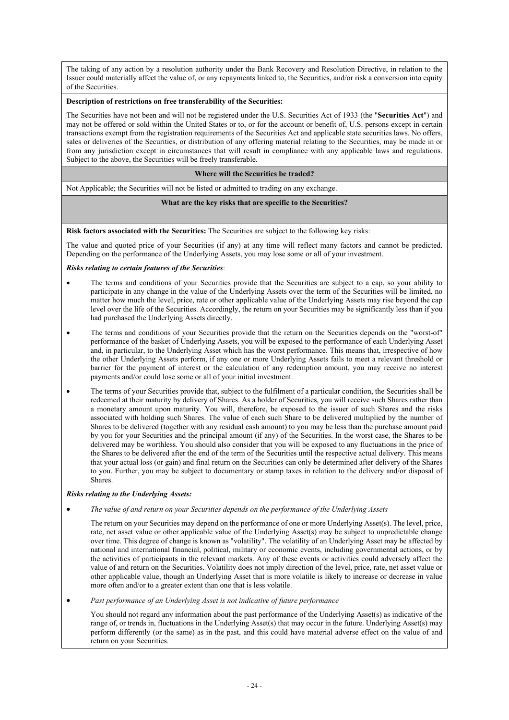The taking of any action by a resolution authority under the Bank Recovery and Resolution Directive, in relation to the Issuer could materially affect the value of, or any repayments linked to, the Securities, and/or risk a conversion into equity of the Securities.

## **Description of restrictions on free transferability of the Securities:**

The Securities have not been and will not be registered under the U.S. Securities Act of 1933 (the "**Securities Act**") and may not be offered or sold within the United States or to, or for the account or benefit of, U.S. persons except in certain transactions exempt from the registration requirements of the Securities Act and applicable state securities laws. No offers, sales or deliveries of the Securities, or distribution of any offering material relating to the Securities, may be made in or from any jurisdiction except in circumstances that will result in compliance with any applicable laws and regulations. Subject to the above, the Securities will be freely transferable.

## **Where will the Securities be traded?**

Not Applicable; the Securities will not be listed or admitted to trading on any exchange.

## **What are the key risks that are specific to the Securities?**

**Risk factors associated with the Securities:** The Securities are subject to the following key risks:

The value and quoted price of your Securities (if any) at any time will reflect many factors and cannot be predicted. Depending on the performance of the Underlying Assets, you may lose some or all of your investment.

## *Risks relating to certain features of the Securities*:

- The terms and conditions of your Securities provide that the Securities are subject to a cap, so your ability to participate in any change in the value of the Underlying Assets over the term of the Securities will be limited, no matter how much the level, price, rate or other applicable value of the Underlying Assets may rise beyond the cap level over the life of the Securities. Accordingly, the return on your Securities may be significantly less than if you had purchased the Underlying Assets directly.
- The terms and conditions of your Securities provide that the return on the Securities depends on the "worst-of" performance of the basket of Underlying Assets, you will be exposed to the performance of each Underlying Asset and, in particular, to the Underlying Asset which has the worst performance. This means that, irrespective of how the other Underlying Assets perform, if any one or more Underlying Assets fails to meet a relevant threshold or barrier for the payment of interest or the calculation of any redemption amount, you may receive no interest payments and/or could lose some or all of your initial investment.
- The terms of your Securities provide that, subject to the fulfilment of a particular condition, the Securities shall be redeemed at their maturity by delivery of Shares. As a holder of Securities, you will receive such Shares rather than a monetary amount upon maturity. You will, therefore, be exposed to the issuer of such Shares and the risks associated with holding such Shares. The value of each such Share to be delivered multiplied by the number of Shares to be delivered (together with any residual cash amount) to you may be less than the purchase amount paid by you for your Securities and the principal amount (if any) of the Securities. In the worst case, the Shares to be delivered may be worthless. You should also consider that you will be exposed to any fluctuations in the price of the Shares to be delivered after the end of the term of the Securities until the respective actual delivery. This means that your actual loss (or gain) and final return on the Securities can only be determined after delivery of the Shares to you. Further, you may be subject to documentary or stamp taxes in relation to the delivery and/or disposal of Shares.

## *Risks relating to the Underlying Assets:*

*The value of and return on your Securities depends on the performance of the Underlying Assets*

The return on your Securities may depend on the performance of one or more Underlying Asset(s). The level, price, rate, net asset value or other applicable value of the Underlying Asset(s) may be subject to unpredictable change over time. This degree of change is known as "volatility". The volatility of an Underlying Asset may be affected by national and international financial, political, military or economic events, including governmental actions, or by the activities of participants in the relevant markets. Any of these events or activities could adversely affect the value of and return on the Securities. Volatility does not imply direction of the level, price, rate, net asset value or other applicable value, though an Underlying Asset that is more volatile is likely to increase or decrease in value more often and/or to a greater extent than one that is less volatile.

*Past performance of an Underlying Asset is not indicative of future performance*

You should not regard any information about the past performance of the Underlying Asset(s) as indicative of the range of, or trends in, fluctuations in the Underlying Asset(s) that may occur in the future. Underlying Asset(s) may perform differently (or the same) as in the past, and this could have material adverse effect on the value of and return on your Securities.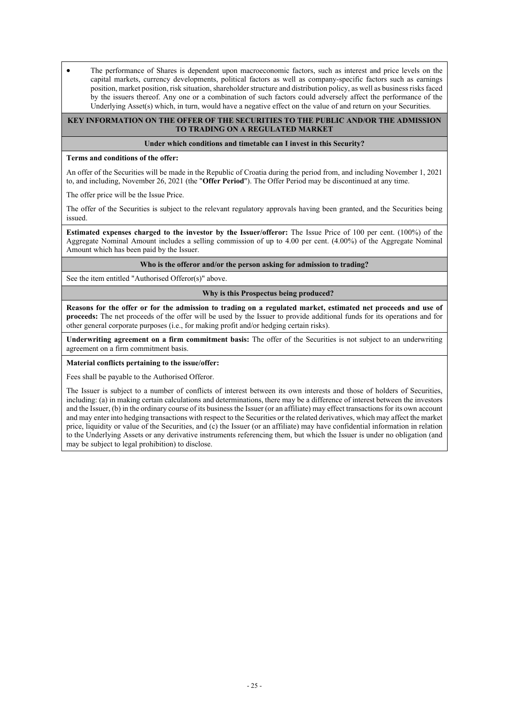The performance of Shares is dependent upon macroeconomic factors, such as interest and price levels on the capital markets, currency developments, political factors as well as company-specific factors such as earnings position, market position, risk situation, shareholder structure and distribution policy, as well as business risks faced by the issuers thereof. Any one or a combination of such factors could adversely affect the performance of the Underlying Asset(s) which, in turn, would have a negative effect on the value of and return on your Securities.

## **KEY INFORMATION ON THE OFFER OF THE SECURITIES TO THE PUBLIC AND/OR THE ADMISSION TO TRADING ON A REGULATED MARKET**

### **Under which conditions and timetable can I invest in this Security?**

## **Terms and conditions of the offer:**

An offer of the Securities will be made in the Republic of Croatia during the period from, and including November 1, 2021 to, and including, November 26, 2021 (the "**Offer Period**"). The Offer Period may be discontinued at any time.

The offer price will be the Issue Price.

The offer of the Securities is subject to the relevant regulatory approvals having been granted, and the Securities being issued.

**Estimated expenses charged to the investor by the Issuer/offeror:** The Issue Price of 100 per cent. (100%) of the Aggregate Nominal Amount includes a selling commission of up to 4.00 per cent. (4.00%) of the Aggregate Nominal Amount which has been paid by the Issuer.

#### **Who is the offeror and/or the person asking for admission to trading?**

See the item entitled "Authorised Offeror(s)" above.

#### **Why is this Prospectus being produced?**

**Reasons for the offer or for the admission to trading on a regulated market, estimated net proceeds and use of proceeds:** The net proceeds of the offer will be used by the Issuer to provide additional funds for its operations and for other general corporate purposes (i.e., for making profit and/or hedging certain risks).

**Underwriting agreement on a firm commitment basis:** The offer of the Securities is not subject to an underwriting agreement on a firm commitment basis.

### **Material conflicts pertaining to the issue/offer:**

Fees shall be payable to the Authorised Offeror.

The Issuer is subject to a number of conflicts of interest between its own interests and those of holders of Securities, including: (a) in making certain calculations and determinations, there may be a difference of interest between the investors and the Issuer, (b) in the ordinary course of its business the Issuer (or an affiliate) may effect transactions for its own account and may enter into hedging transactions with respect to the Securities or the related derivatives, which may affect the market price, liquidity or value of the Securities, and (c) the Issuer (or an affiliate) may have confidential information in relation to the Underlying Assets or any derivative instruments referencing them, but which the Issuer is under no obligation (and may be subject to legal prohibition) to disclose.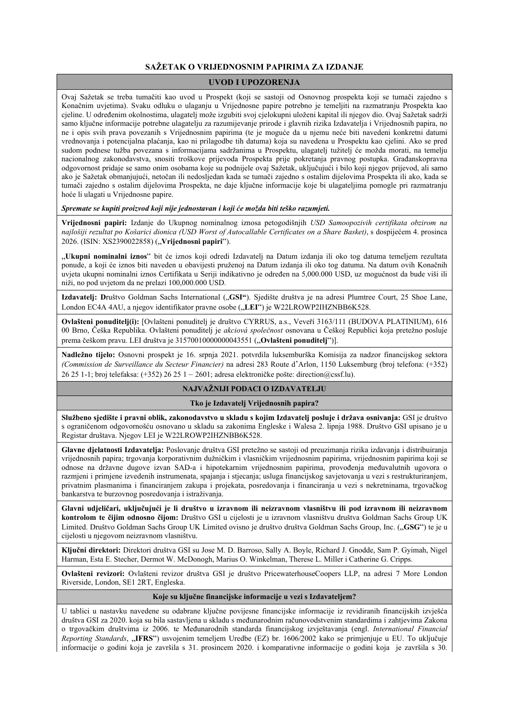# **SAŽETAK O VRIJEDNOSNIM PAPIRIMA ZA IZDANJE**

## **UVOD I UPOZORENJA**

Ovaj Sažetak se treba tumačiti kao uvod u Prospekt (koji se sastoji od Osnovnog prospekta koji se tumači zajedno s Konačnim uvjetima). Svaku odluku o ulaganju u Vrijednosne papire potrebno je temeljiti na razmatranju Prospekta kao cjeline. U određenim okolnostima, ulagatelj može izgubiti svoj cjelokupni uloženi kapital ili njegov dio. Ovaj Sažetak sadrži samo ključne informacije potrebne ulagatelju za razumijevanje prirode i glavnih rizika Izdavatelja i Vrijednosnih papira, no ne i opis svih prava povezanih s Vrijednosnim papirima (te je moguće da u njemu neće biti navedeni konkretni datumi vrednovanja i potencijalna plaćanja, kao ni prilagodbe tih datuma) koja su navedena u Prospektu kao cjelini. Ako se pred sudom podnese tužba povezana s informacijama sadržanima u Prospektu, ulagatelj tužitelj će možda morati, na temelju nacionalnog zakonodavstva, snositi troškove prijevoda Prospekta prije pokretanja pravnog postupka. Građanskopravna odgovornost pridaje se samo onim osobama koje su podnijele ovaj Sažetak, uključujući i bilo koji njegov prijevod, ali samo ako je Sažetak obmanjujući, netočan ili nedosljedan kada se tumači zajedno s ostalim dijelovima Prospekta ili ako, kada se tumači zajedno s ostalim dijelovima Prospekta, ne daje ključne informacije koje bi ulagateljima pomogle pri razmatranju hoće li ulagati u Vrijednosne papire.

*Spremate se kupiti proizvod koji nije jednostavan i koji će možda biti teško razumjeti.*

**Vrijednosni papiri:** Izdanje do Ukupnog nominalnog iznosa petogodišnjih *USD Samoopozivih certifikata obzirom na najlošiji rezultat po Košarici dionica (USD Worst of Autocallable Certificates on a Share Basket)*, s dospijećem 4. prosinca 2026. (ISIN: XS2390022858) ("**Vrijednosni papiri**").

"**Ukupni nominalni iznos**" bit će iznos koji odredi Izdavatelj na Datum izdanja ili oko tog datuma temeljem rezultata ponude, a koji će iznos biti naveden u obavijesti pruženoj na Datum izdanja ili oko tog datuma. Na datum ovih Konačnih uvjeta ukupni nominalni iznos Certifikata u Seriji indikativno je određen na 5,000.000 USD, uz mogućnost da bude viši ili niži, no pod uvjetom da ne prelazi 100,000.000 USD.

**Izdavatelj: D**ruštvo Goldman Sachs International ("**GSI"**). Sjedište društva je na adresi Plumtree Court, 25 Shoe Lane, London EC4A 4AU, a njegov identifikator pravne osobe ("**LEI**") je W22LROWP2IHZNBB6K528.

**Ovlašteni ponuditelj(i):** [Ovlašteni ponuditelj je društvo CYRRUS, a.s., Veveří 3163/111 (BUDOVA PLATINIUM), 616 00 Brno, Češka Republika. Ovlašteni ponuditelj je *akciová společnost* osnovana u Češkoj Republici koja pretežno posluje prema češkom pravu. LEI društva je 31570010000000043551 ("Ovlašteni ponuditelj")].

**Nadležno tijelo:** Osnovni prospekt je 16. srpnja 2021. potvrdila luksemburška Komisija za nadzor financijskog sektora *(Commission de Surveillance du Secteur Financier)* na adresi 283 Route d'Arlon, 1150 Luksemburg (broj telefona: (+352) 26 25 1-1; broj telefaksa: (+352) 26 25 1 – 2601; adresa elektroničke pošte: direction@cssf.lu).

## **NAJVAŽNIJI PODACI O IZDAVATELJU**

## **Tko je Izdavatelj Vrijednosnih papira?**

**Službeno sjedište i pravni oblik, zakonodavstvo u skladu s kojim Izdavatelj posluje i država osnivanja:** GSI je društvo s ograničenom odgovornošću osnovano u skladu sa zakonima Engleske i Walesa 2. lipnja 1988. Društvo GSI upisano je u Registar društava. Njegov LEI je W22LROWP2IHZNBB6K528.

**Glavne djelatnosti Izdavatelja:** Poslovanje društva GSI pretežno se sastoji od preuzimanja rizika izdavanja i distribuiranja vrijednosnih papira; trgovanja korporativnim dužničkim i vlasničkim vrijednosnim papirima, vrijednosnim papirima koji se odnose na državne dugove izvan SAD-a i hipotekarnim vrijednosnim papirima, provođenja međuvalutnih ugovora o razmjeni i primjene izvedenih instrumenata, spajanja i stjecanja; usluga financijskog savjetovanja u vezi s restrukturiranjem, privatnim plasmanima i financiranjem zakupa i projekata, posredovanja i financiranja u vezi s nekretninama, trgovačkog bankarstva te burzovnog posredovanja i istraživanja.

**Glavni udjeličari, uključujući je li društvo u izravnom ili neizravnom vlasništvu ili pod izravnom ili neizravnom kontrolom te čijim odnosno čijom:** Društvo GSI u cijelosti je u izravnom vlasništvu društva Goldman Sachs Group UK Limited. Društvo Goldman Sachs Group UK Limited ovisno je društvo društva Goldman Sachs Group, Inc. ("GSG") te je u cijelosti u njegovom neizravnom vlasništvu.

**Ključni direktori:** Direktori društva GSI su Jose M. D. Barroso, Sally A. Boyle, Richard J. Gnodde, Sam P. Gyimah, Nigel Harman, Esta E. Stecher, Dermot W. McDonogh, Marius O. Winkelman, Therese L. Miller i Catherine G. Cripps.

**Ovlašteni revizori:** Ovlašteni revizor društva GSI je društvo PricewaterhouseCoopers LLP, na adresi 7 More London Riverside, London, SE1 2RT, Engleska.

## **Koje su ključne financijske informacije u vezi s Izdavateljem?**

U tablici u nastavku navedene su odabrane ključne povijesne financijske informacije iz revidiranih financijskih izvješća društva GSI za 2020. koja su bila sastavljena u skladu s međunarodnim računovodstvenim standardima i zahtjevima Zakona o trgovačkim društvima iz 2006. te Međunarodnih standarda financijskog izvještavanja (engl. *International Financial Reporting Standards*, **"IFRS**") usvojenim temeljem Uredbe (EZ) br. 1606/2002 kako se primjenjuje u EU. To uključuje informacije o godini koja je završila s 31. prosincem 2020. i komparativne informacije o godini koja je završila s 30.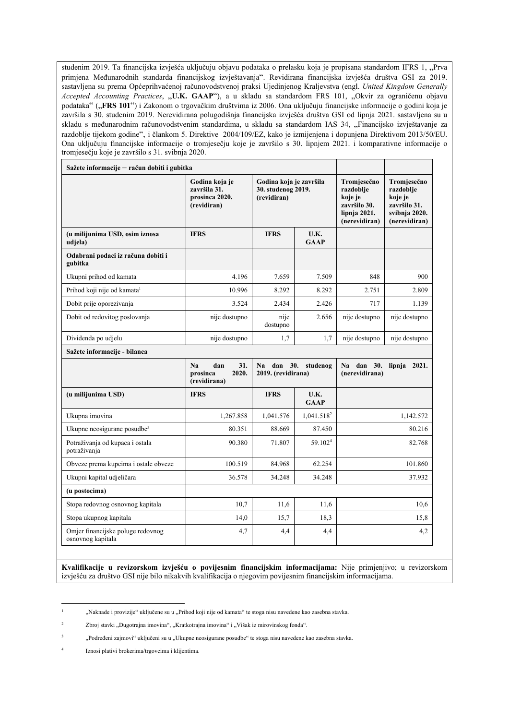studenim 2019. Ta financijska izvješća uključuju objavu podataka o prelasku koja je propisana standardom IFRS 1, "Prva primjena Međunarodnih standarda financijskog izvještavanja". Revidirana financijska izvješća društva GSI za 2019. sastavljena su prema Općeprihvaćenoj računovodstvenoj praksi Ujedinjenog Kraljevstva (engl. *United Kingdom Generally*  Accepted Accounting Practices, "U.K. GAAP"), a u skladu sa standardom FRS 101, "Okvir za ograničenu objavu podataka" ("FRS 101") i Zakonom o trgovačkim društvima iz 2006. Ona uključuju financijske informacije o godini koja je završila s 30. studenim 2019. Nerevidirana polugodišnja financijska izvješća društva GSI od lipnja 2021. sastavljena su u skladu s međunarodnim računovodstvenim standardima, u skladu sa standardom IAS 34, "Financijsko izvještavanje za razdoblje tijekom godine", i člankom 5. Direktive 2004/109/EZ, kako je izmijenjena i dopunjena Direktivom 2013/50/EU. Ona uključuju financijske informacije o tromjesečju koje je završilo s 30. lipnjem 2021. i komparativne informacije o tromjesečju koje je završilo s 31. svibnja 2020.

| Sažete informacije – račun dobiti i gubitka            |                                                                   |                                                              |                        |                                                                                      |                                                                                       |
|--------------------------------------------------------|-------------------------------------------------------------------|--------------------------------------------------------------|------------------------|--------------------------------------------------------------------------------------|---------------------------------------------------------------------------------------|
|                                                        | Godina koja je<br>završila 31.<br>prosinca 2020.<br>(revidiran)   | Godina koja je završila<br>30. studenog 2019.<br>(revidiran) |                        | Tromjesečno<br>razdoblje<br>koje je<br>završilo 30.<br>lipnja 2021.<br>(nerevidiran) | Tromjesečno<br>razdoblje<br>koje je<br>završilo 31.<br>svibnja 2020.<br>(nerevidiran) |
| (u milijunima USD, osim iznosa<br>udjela)              | <b>IFRS</b>                                                       | <b>IFRS</b>                                                  | U.K.<br><b>GAAP</b>    |                                                                                      |                                                                                       |
| Odabrani podaci iz računa dobiti i<br>gubitka          |                                                                   |                                                              |                        |                                                                                      |                                                                                       |
| Ukupni prihod od kamata                                | 4.196                                                             | 7.659                                                        | 7.509                  | 848                                                                                  | 900                                                                                   |
| Prihod koji nije od kamata <sup>1</sup>                | 10.996                                                            | 8.292                                                        | 8.292                  | 2.751                                                                                | 2.809                                                                                 |
| Dobit prije oporezivanja                               | 3.524                                                             | 2.434                                                        | 2.426                  | 717                                                                                  | 1.139                                                                                 |
| Dobit od redovitog poslovanja                          | nije dostupno                                                     | nije<br>dostupno                                             | 2.656                  | nije dostupno                                                                        | nije dostupno                                                                         |
| Dividenda po udjelu                                    | nije dostupno                                                     | 1,7                                                          | 1,7                    | nije dostupno                                                                        | nije dostupno                                                                         |
| Sažete informacije - bilanca                           |                                                                   |                                                              |                        |                                                                                      |                                                                                       |
|                                                        | 31.<br>N <sub>a</sub><br>dan<br>2020.<br>prosinca<br>(revidirana) | Na dan 30. studenog<br>2019. (revidirana)                    |                        | (nerevidirana)                                                                       | Na dan 30. lipnia 2021.                                                               |
| (u milijunima USD)                                     | <b>IFRS</b>                                                       | <b>IFRS</b>                                                  | U.K.<br><b>GAAP</b>    |                                                                                      |                                                                                       |
| Ukupna imovina                                         | 1,267.858                                                         | 1,041.576                                                    | 1,041.518 <sup>2</sup> |                                                                                      | 1,142.572                                                                             |
| Ukupne neosigurane posudbe <sup>3</sup>                | 80.351                                                            | 88.669                                                       | 87.450                 |                                                                                      | 80.216                                                                                |
| Potraživanja od kupaca i ostala<br>potraživanja        | 90.380                                                            | 71.807                                                       | 59.102 <sup>4</sup>    |                                                                                      | 82.768                                                                                |
| Obveze prema kupcima i ostale obveze                   | 100.519                                                           | 84.968                                                       | 62.254                 |                                                                                      | 101.860                                                                               |
| Ukupni kapital udjeličara                              | 36.578                                                            | 34.248                                                       | 34.248                 |                                                                                      | 37.932                                                                                |
| (u postocima)                                          |                                                                   |                                                              |                        |                                                                                      |                                                                                       |
| Stopa redovnog osnovnog kapitala                       | 10,7                                                              | 11,6                                                         | 11,6                   |                                                                                      | 10.6                                                                                  |
| Stopa ukupnog kapitala                                 | 14,0                                                              | 15,7                                                         | 18,3                   |                                                                                      | 15,8                                                                                  |
| Omjer financijske poluge redovnog<br>osnovnog kapitala | 4,7                                                               | 4,4                                                          | 4,4                    |                                                                                      | 4,2                                                                                   |

**Kvalifikacije u revizorskom izvješću o povijesnim financijskim informacijama:** Nije primjenjivo; u revizorskom izvješću za društvo GSI nije bilo nikakvih kvalifikacija o njegovim povijesnim financijskim informacijama.

<sup>1</sup> "Naknade i provizije" uključene su u "Prihod koji nije od kamata" te stoga nisu navedene kao zasebna stavka.

<sup>&</sup>lt;sup>2</sup> Zbroj stavki "Dugotrajna imovina", "Kratkotrajna imovina" i "Višak iz mirovinskog fonda".

<sup>3</sup> "Podređeni zajmovi" uključeni su u "Ukupne neosigurane posudbe" te stoga nisu navedene kao zasebna stavka.

<sup>4</sup> Iznosi plativi brokerima/trgovcima i klijentima.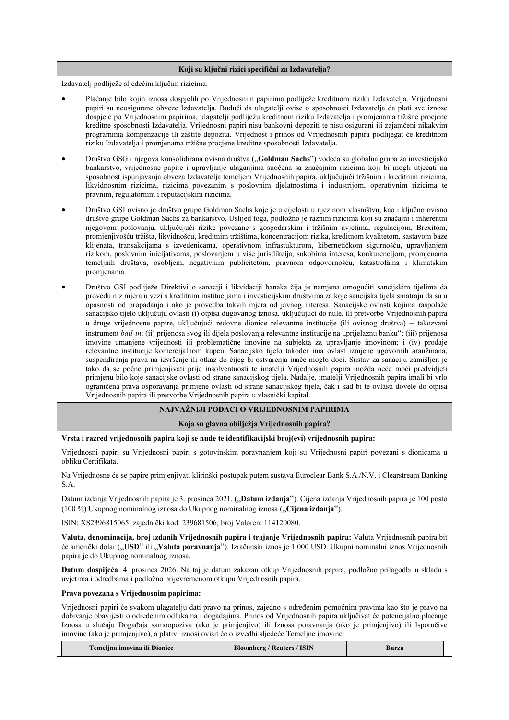#### **Koji su ključni rizici specifični za Izdavatelja?**

Izdavatelj podliježe sljedećim ključim rizicima:

- Plaćanje bilo kojih iznosa dospjelih po Vrijednosnim papirima podliježe kreditnom riziku Izdavatelja. Vrijednosni papiri su neosigurane obveze Izdavatelja. Budući da ulagatelji ovise o sposobnosti Izdavatelja da plati sve iznose dospjele po Vrijednosnim papirima, ulagatelji podliježu kreditnom riziku Izdavatelja i promjenama tržišne procjene kreditne sposobnosti Izdavatelja. Vrijednosni papiri nisu bankovni depoziti te nisu osigurani ili zajamčeni nikakvim programima kompenzacije ili zaštite depozita. Vrijednost i prinos od Vrijednosnih papira podlijegat će kreditnom riziku Izdavatelja i promjenama tržišne procjene kreditne sposobnosti Izdavatelja.
- **•** Društvo GSG i njegova konsolidirana ovisna društva ("**Goldman Sachs**") vodeća su globalna grupa za investicijsko bankarstvo, vrijednosne papire i upravljanje ulaganjima suočena sa značajnim rizicima koji bi mogli utjecati na sposobnost ispunjavanja obveza Izdavatelja temeljem Vrijednosnih papira, uključujući tržišnim i kreditnim rizicima, likvidnosnim rizicima, rizicima povezanim s poslovnim djelatnostima i industrijom, operativnim rizicima te pravnim, regulatornim i reputacijskim rizicima.
- Društvo GSI ovisno je društvo grupe Goldman Sachs koje je u cijelosti u njezinom vlasništvu, kao i ključno ovisno društvo grupe Goldman Sachs za bankarstvo. Uslijed toga, podložno je raznim rizicima koji su značajni i inherentni njegovom poslovanju, uključujući rizike povezane s gospodarskim i tržišnim uvjetima, regulacijom, Brexitom, promjenjivošću tržišta, likvidnošću, kreditnim tržištima, koncentracijom rizika, kreditnom kvalitetom, sastavom baze klijenata, transakcijama s izvedenicama, operativnom infrastukturom, kibernetičkom sigurnošću, upravljanjem rizikom, poslovnim inicijativama, poslovanjem u više jurisdikcija, sukobima interesa, konkurencijom, promjenama temeljnih društava, osobljem, negativnim publicitetom, pravnom odgovornošću, katastrofama i klimatskim promjenama.
- Društvo GSI podliježe Direktivi o sanaciji i likvidaciji banaka čija je namjena omogućiti sancijskim tijelima da provedu niz mjera u vezi s kreditnim institucijama i investicijskim društvima za koje sancijska tijela smatraju da su u opasnosti od propadanja i ako je provedba takvih mjera od javnog interesa. Sanacijske ovlasti kojima raspolaže sanacijsko tijelo uključuju ovlasti (i) otpisa dugovanog iznosa, uključujući do nule, ili pretvorbe Vrijednosnih papira u druge vrijednosne papire, uključujući redovne dionice relevantne institucije (ili ovisnog društva) – takozvani instrument *bail-in*; (ii) prijenosa svog ili dijela poslovanja relevantne institucije na "prijelaznu banku"; (iii) prijenosa imovine umanjene vrijednosti ili problematične imovine na subjekta za upravljanje imovinom; i (iv) prodaje relevantne institucije komercijalnom kupcu. Sanacijsko tijelo također ima ovlast izmjene ugovornih aranžmana, suspendiranja prava na izvršenje ili otkaz do čijeg bi ostvarenja inače moglo doći. Sustav za sanaciju zamišljen je tako da se počne primjenjivati prije insolventnosti te imatelji Vrijednosnih papira možda neće moći predvidjeti primjenu bilo koje sanacijske ovlasti od strane sanacijskog tijela. Nadalje, imatelji Vrijednosnih papira imali bi vrlo ograničena prava osporavanja primjene ovlasti od strane sanacijskog tijela, čak i kad bi te ovlasti dovele do otpisa Vrijednosnih papira ili pretvorbe Vrijednosnih papira u vlasnički kapital.

# **NAJVAŽNIJI PODACI O VRIJEDNOSNIM PAPIRIMA**

#### **Koja su glavna obilježja Vrijednosnih papira?**

**Vrsta i razred vrijednosnih papira koji se nude te identifikacijski broj(evi) vrijednosnih papira:**

Vrijednosni papiri su Vrijednosni papiri s gotovinskim poravnanjem koji su Vrijednosni papiri povezani s dionicama u obliku Certifikata.

Na Vrijednosne će se papire primjenjivati klirinški postupak putem sustava Euroclear Bank S.A./N.V. i Clearstream Banking S.A.

Datum izdanja Vrijednosnih papira je 3. prosinca 2021. ("Datum izdanja"). Cijena izdanja Vrijednosnih papira je 100 posto (100 %) Ukupnog nominalnog iznosa do Ukupnog nominalnog iznosa ("Cijena izdanja").

ISIN: XS2396815065; zajednički kod: 239681506; broj Valoren: 114120080.

**Valuta, denominacija, broj izdanih Vrijednosnih papira i trajanje Vrijednosnih papira:** Valuta Vrijednosnih papira bit će američki dolar ("USD" ili "Valuta poravnanja"). Izračunski iznos je 1.000 USD. Ukupni nominalni iznos Vrijednosnih papira je do Ukupnog nominalnog iznosa.

**Datum dospijeća**: 4. prosinca 2026. Na taj je datum zakazan otkup Vrijednosnih papira, podložno prilagodbi u skladu s uvjetima i odredbama i podložno prijevremenom otkupu Vrijednosnih papira.

## **Prava povezana s Vrijednosnim papirima:**

Vrijednosni papiri će svakom ulagatelju dati pravo na prinos, zajedno s određenim pomoćnim pravima kao što je pravo na dobivanje obavijesti o određenim odlukama i događajima. Prinos od Vrijednosnih papira uključivat će potencijalno plaćanje Iznosa u slučaju Događaja samoopoziva (ako je primjenjivo) ili Iznosa poravnanja (ako je primjenjivo) ili Isporučive imovine (ako je primjenjivo), a plativi iznosi ovisit će o izvedbi sljedeće Temeljne imovine:

| Temelina imovina ili Dionice | <b>Bloomberg / Reuters / ISIN</b> | Burza |  |
|------------------------------|-----------------------------------|-------|--|
|------------------------------|-----------------------------------|-------|--|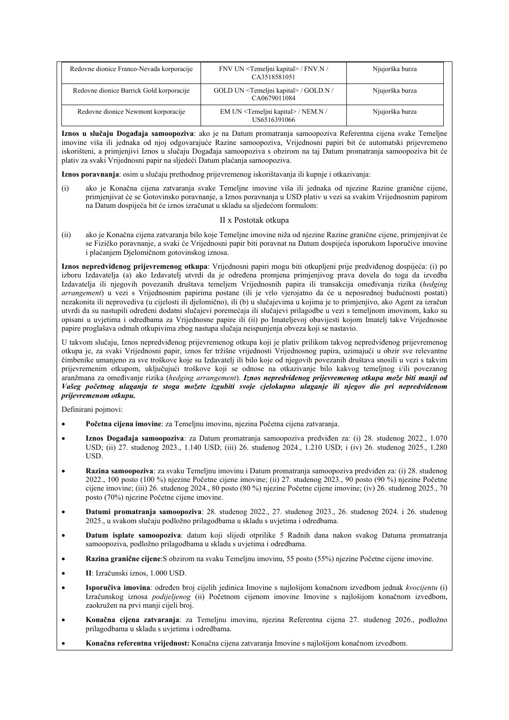| Redovne dionice Franco-Nevada korporacije | FNV UN <temeljni kapital=""> / FNV.N /<br/>CA3518581051</temeljni>   | Njujorška burza |
|-------------------------------------------|----------------------------------------------------------------------|-----------------|
| Redovne dionice Barrick Gold korporacije  | GOLD UN <temeljni kapital=""> / GOLD.N /<br/>CA0679011084</temeljni> | Njujorška burza |
| Redovne dionice Newmont korporacije       | EM UN <temeljni kapital=""> / NEM.N /<br/>US6516391066</temeljni>    | Njujorška burza |

**Iznos u slučaju Događaja samoopoziva**: ako je na Datum promatranja samoopoziva Referentna cijena svake Temeljne imovine viša ili jednaka od njoj odgovarajuće Razine samoopoziva, Vrijednosni papiri bit će automatski prijevremeno iskorišteni, a primjenjivi Iznos u slučaju Događaja samoopoziva s obzirom na taj Datum promatranja samoopoziva bit će plativ za svaki Vrijednosni papir na sljedeći Datum plaćanja samoopoziva.

**Iznos poravnanja**: osim u slučaju prethodnog prijevremenog iskorištavanja ili kupnje i otkazivanja:

(i) ako je Konačna cijena zatvaranja svake Temeljne imovine viša ili jednaka od njezine Razine granične cijene, primjenjivat će se Gotovinsko poravnanje, a Iznos poravnanja u USD plativ u vezi sa svakim Vrijednosnim papirom na Datum dospijeća bit će iznos izračunat u skladu sa sljedećom formulom:

## II x Postotak otkupa

(ii) ako je Konačna cijena zatvaranja bilo koje Temeljne imovine niža od njezine Razine granične cijene, primjenjivat će se Fizičko poravnanje, a svaki će Vrijednosni papir biti poravnat na Datum dospijeća isporukom Isporučive imovine i plaćanjem Djelomičnom gotovinskog iznosa.

**Iznos nepredviđenog prijevremenog otkupa**: Vrijednosni papiri mogu biti otkupljeni prije predviđenog dospijeća: (i) po izboru Izdavatelja (a) ako Izdavatelj utvrdi da je određena promjena primjenjivog prava dovela do toga da izvedba Izdavatelja ili njegovih povezanih društava temeljem Vrijednosnih papira ili transakcija omeđivanja rizika (*hedging arrangement*) u vezi s Vrijednosnim papirima postane (ili je vrlo vjerojatno da će u neposrednoj budućnosti postati) nezakonita ili neprovediva (u cijelosti ili djelomično), ili (b) u slučajevima u kojima je to primjenjivo, ako Agent za izračun utvrdi da su nastupili određeni dodatni slučajevi poremećaja ili slučajevi prilagodbe u vezi s temeljnom imovinom, kako su opisani u uvjetima i odredbama za Vrijednosne papire ili (ii) po Imateljevoj obavijesti kojom Imatelj takve Vrijednosne papire proglašava odmah otkupivima zbog nastupa slučaja neispunjenja obveza koji se nastavio.

U takvom slučaju, Iznos nepredviđenog prijevremenog otkupa koji je plativ prilikom takvog nepredviđenog prijevremenog otkupa je, za svaki Vrijednosni papir, iznos fer tržišne vrijednosti Vrijednosnog papira, uzimajući u obzir sve relevantne čimbenike umanjeno za sve troškove koje su Izdavatelj ili bilo koje od njegovih povezanih društava snosili u vezi s takvim prijevremenim otkupom, uključujući troškove koji se odnose na otkazivanje bilo kakvog temeljnog i/ili povezanog aranžmana za omeđivanje rizika (*hedging arrangement*). *Iznos nepredviđenog prijevremenog otkupa može biti manji od Vašeg početnog ulaganja te stoga možete izgubiti svoje cjelokupno ulaganje ili njegov dio pri nepredviđenom prijevremenom otkupu.*

Definirani pojmovi:

- **Početna cijena imovine**: za Temeljnu imovinu, njezina Početna cijena zatvaranja.
- **Iznos Događaja samoopoziva**: za Datum promatranja samoopoziva predviđen za: (i) 28. studenog 2022., 1.070 USD; (ii) 27. studenog 2023., 1.140 USD; (iii) 26. studenog 2024., 1.210 USD; i (iv) 26. studenog 2025., 1.280 USD.
- **Razina samoopoziva**: za svaku Temeljnu imovinu i Datum promatranja samoopoziva predviđen za: (i) 28. studenog 2022., 100 posto (100 %) njezine Početne cijene imovine; (ii) 27. studenog 2023., 90 posto (90 %) njezine Početne cijene imovine; (iii) 26. studenog 2024., 80 posto (80 %) njezine Početne cijene imovine; (iv) 26. studenog 2025., 70 posto (70%) njezine Početne cijene imovine.
- **Datumi promatranja samoopoziva**: 28. studenog 2022., 27. studenog 2023., 26. studenog 2024. i 26. studenog 2025., u svakom slučaju podložno prilagodbama u skladu s uvjetima i odredbama.
- **Datum isplate samoopoziva**: datum koji slijedi otprilike 5 Radnih dana nakon svakog Datuma promatranja samoopoziva, podložno prilagodbama u skladu s uvjetima i odredbama.
- **Razina granične cijene**:S obzirom na svaku Temeljnu imovinu, 55 posto (55%) njezine Početne cijene imovine.
- **II**: Izračunski iznos, 1.000 USD.
- **Isporučiva imovina**: određen broj cijelih jedinica Imovine s najlošijom konačnom izvedbom jednak *kvocijentu* (i) Izračunskog iznosa *podijeljenog* (ii) Početnom cijenom imovine Imovine s najlošijom konačnom izvedbom, zaokružen na prvi manji cijeli broj.
- **Konačna cijena zatvaranja**: za Temeljnu imovinu, njezina Referentna cijena 27. studenog 2026., podložno prilagodbama u skladu s uvjetima i odredbama.
- **Konačna referentna vrijednost:** Konačna cijena zatvaranja Imovine s najlošijom konačnom izvedbom.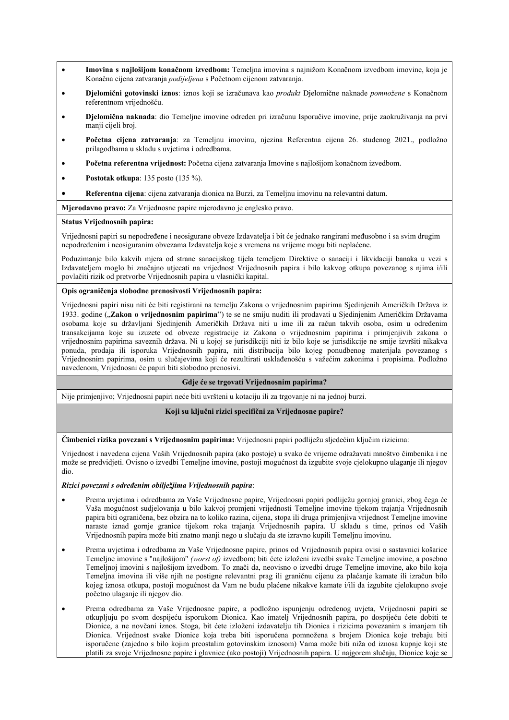- **Imovina s najlošijom konačnom izvedbom:** Temeljna imovina s najnižom Konačnom izvedbom imovine, koja je Konačna cijena zatvaranja *podijeljena* s Početnom cijenom zatvaranja.
- **Djelomični gotovinski iznos**: iznos koji se izračunava kao *produkt* Djelomične naknade *pomnožene* s Konačnom referentnom vrijednošću.
- **Djelomična naknada**: dio Temeljne imovine određen pri izračunu Isporučive imovine, prije zaokruživanja na prvi manji cijeli broj.
- **Početna cijena zatvaranja**: za Temeljnu imovinu, njezina Referentna cijena 26. studenog 2021., podložno prilagodbama u skladu s uvjetima i odredbama.
- **Početna referentna vrijednost:** Početna cijena zatvaranja Imovine s najlošijom konačnom izvedbom.
- **Postotak otkupa**: 135 posto (135 %).
- **Referentna cijena**: cijena zatvaranja dionica na Burzi, za Temeljnu imovinu na relevantni datum.

**Mjerodavno pravo:** Za Vrijednosne papire mjerodavno je englesko pravo.

## **Status Vrijednosnih papira:**

Vrijednosni papiri su nepodređene i neosigurane obveze Izdavatelja i bit će jednako rangirani međusobno i sa svim drugim nepodređenim i neosiguranim obvezama Izdavatelja koje s vremena na vrijeme mogu biti neplaćene.

Poduzimanje bilo kakvih mjera od strane sanacijskog tijela temeljem Direktive o sanaciji i likvidaciji banaka u vezi s Izdavateljem moglo bi značajno utjecati na vrijednost Vrijednosnih papira i bilo kakvog otkupa povezanog s njima i/ili povlačiti rizik od pretvorbe Vrijednosnih papira u vlasnički kapital.

## **Opis ograničenja slobodne prenosivosti Vrijednosnih papira:**

Vrijednosni papiri nisu niti će biti registirani na temelju Zakona o vrijednosnim papirima Sjedinjenih Američkih Država iz 1933. godine ("**Zakon o vrijednosnim papirima**") te se ne smiju nuditi ili prodavati u Sjedinjenim Američkim Državama osobama koje su državljani Sjedinjenih Američkih Država niti u ime ili za račun takvih osoba, osim u određenim transakcijama koje su izuzete od obveze registracije iz Zakona o vrijednosnim papirima i primjenjivih zakona o vrijednosnim papirima saveznih država. Ni u kojoj se jurisdikciji niti iz bilo koje se jurisdikcije ne smije izvršiti nikakva ponuda, prodaja ili isporuka Vrijednosnih papira, niti distribucija bilo kojeg ponudbenog materijala povezanog s Vrijednosnim papirima, osim u slučajevima koji će rezultirati usklađenošću s važećim zakonima i propisima. Podložno navedenom, Vrijednosni će papiri biti slobodno prenosivi.

## **Gdje će se trgovati Vrijednosnim papirima?**

Nije primjenjivo; Vrijednosni papiri neće biti uvršteni u kotaciju ili za trgovanje ni na jednoj burzi.

## **Koji su ključni rizici specifični za Vrijednosne papire?**

**Čimbenici rizika povezani s Vrijednosnim papirima:** Vrijednosni papiri podliježu sljedećim ključim rizicima:

Vrijednost i navedena cijena Vaših Vrijednosnih papira (ako postoje) u svako će vrijeme odražavati mnoštvo čimbenika i ne može se predvidjeti. Ovisno o izvedbi Temeljne imovine, postoji mogućnost da izgubite svoje cjelokupno ulaganje ili njegov dio.

## *Rizici povezani s određenim obilježjima Vrijednosnih papira*:

- Prema uvjetima i odredbama za Vaše Vrijednosne papire, Vrijednosni papiri podliježu gornjoj granici, zbog čega će Vaša mogućnost sudjelovanja u bilo kakvoj promjeni vrijednosti Temeljne imovine tijekom trajanja Vrijednosnih papira biti ograničena, bez obzira na to koliko razina, cijena, stopa ili druga primjenjiva vrijednost Temeljne imovine naraste iznad gornje granice tijekom roka trajanja Vrijednosnih papira. U skladu s time, prinos od Vaših Vrijednosnih papira može biti znatno manji nego u slučaju da ste izravno kupili Temeljnu imovinu.
- Prema uvjetima i odredbama za Vaše Vrijednosne papire, prinos od Vrijednosnih papira ovisi o sastavnici košarice Temeljne imovine s "najlošijom" *(worst of)* izvedbom; biti ćete izloženi izvedbi svake Temeljne imovine, a posebno Temeljnoj imovini s najlošijom izvedbom. To znači da, neovisno o izvedbi druge Temeljne imovine, ako bilo koja Temeljna imovina ili više njih ne postigne relevantni prag ili graničnu cijenu za plaćanje kamate ili izračun bilo kojeg iznosa otkupa, postoji mogućnost da Vam ne budu plaćene nikakve kamate i/ili da izgubite cjelokupno svoje početno ulaganje ili njegov dio.
- Prema odredbama za Vaše Vrijednosne papire, a podložno ispunjenju određenog uvjeta, Vrijednosni papiri se otkupljuju po svom dospijeću isporukom Dionica. Kao imatelj Vrijednosnih papira, po dospijeću ćete dobiti te Dionice, a ne novčani iznos. Stoga, bit ćete izloženi izdavatelju tih Dionica i rizicima povezanim s imanjem tih Dionica. Vrijednost svake Dionice koja treba biti isporučena pomnožena s brojem Dionica koje trebaju biti isporučene (zajedno s bilo kojim preostalim gotovinskim iznosom) Vama može biti niža od iznosa kupnje koji ste platili za svoje Vrijednosne papire i glavnice (ako postoji) Vrijednosnih papira. U najgorem slučaju, Dionice koje se